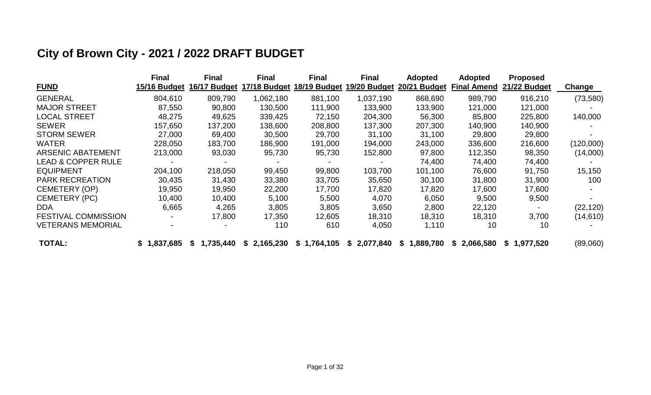# **City of Brown City - 2021 / 2022 DRAFT BUDGET**

|                               | <b>Final</b> | <b>Final</b>    | <b>Final</b>    | <b>Final</b>              | <b>Final</b> | <b>Adopted</b>  | <b>Adopted</b>     | <b>Proposed</b> |           |
|-------------------------------|--------------|-----------------|-----------------|---------------------------|--------------|-----------------|--------------------|-----------------|-----------|
| <b>FUND</b>                   | 15/16 Budget | 16/17 Budget    |                 | 17/18 Budget 18/19 Budget | 19/20 Budget | 20/21 Budget    | <b>Final Amend</b> | 21/22 Budget    | Change    |
| <b>GENERAL</b>                | 804,610      | 809,790         | 1,062,180       | 881,100                   | 1,037,190    | 868,690         | 989,790            | 916,210         | (73, 580) |
| <b>MAJOR STREET</b>           | 87,550       | 90,800          | 130,500         | 111,900                   | 133,900      | 133,900         | 121,000            | 121,000         |           |
| <b>LOCAL STREET</b>           | 48,275       | 49,625          | 339,425         | 72,150                    | 204,300      | 56,300          | 85,800             | 225,800         | 140,000   |
| <b>SEWER</b>                  | 157,650      | 137,200         | 138,600         | 208,800                   | 137,300      | 207,300         | 140,900            | 140,900         |           |
| <b>STORM SEWER</b>            | 27,000       | 69,400          | 30,500          | 29,700                    | 31,100       | 31,100          | 29,800             | 29,800          |           |
| <b>WATER</b>                  | 228,050      | 183,700         | 186,900         | 191,000                   | 194,000      | 243,000         | 336,600            | 216,600         | (120,000) |
| <b>ARSENIC ABATEMENT</b>      | 213,000      | 93,030          | 95,730          | 95,730                    | 152,800      | 97,800          | 112,350            | 98,350          | (14,000)  |
| <b>LEAD &amp; COPPER RULE</b> |              |                 |                 |                           |              | 74,400          | 74,400             | 74,400          |           |
| <b>EQUIPMENT</b>              | 204,100      | 218,050         | 99,450          | 99,800                    | 103,700      | 101,100         | 76,600             | 91,750          | 15,150    |
| <b>PARK RECREATION</b>        | 30,435       | 31,430          | 33,380          | 33,705                    | 35,650       | 30,100          | 31,800             | 31,900          | 100       |
| <b>CEMETERY (OP)</b>          | 19,950       | 19,950          | 22,200          | 17,700                    | 17,820       | 17,820          | 17,600             | 17,600          |           |
| <b>CEMETERY (PC)</b>          | 10,400       | 10,400          | 5,100           | 5,500                     | 4,070        | 6,050           | 9,500              | 9,500           |           |
| DDA                           | 6,665        | 4,265           | 3,805           | 3,805                     | 3,650        | 2,800           | 22,120             |                 | (22, 120) |
| <b>FESTIVAL COMMISSION</b>    |              | 17,800          | 17,350          | 12,605                    | 18,310       | 18,310          | 18,310             | 3,700           | (14, 610) |
| <b>VETERANS MEMORIAL</b>      |              |                 | 110             | 610                       | 4,050        | 1,110           | 10                 | 10              |           |
| <b>TOTAL:</b>                 | \$1,837,685  | 1,735,440<br>-S | 2,165,230<br>S. | \$1,764,105               | \$2,077,840  | 1,889,780<br>S. | \$2,066,580        | \$1,977,520     | (89,060)  |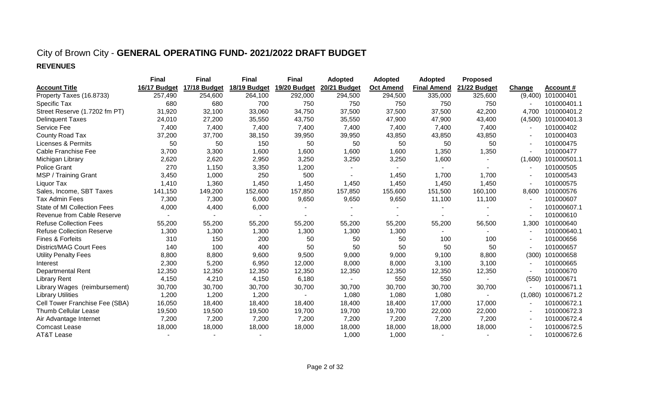### City of Brown City - **GENERAL OPERATING FUND- 2021/2022 DRAFT BUDGET REVENUES**

|                                  | <b>Final</b> | <b>Final</b> | <b>Final</b> | <b>Final</b> | <b>Adopted</b> | <b>Adopted</b>   | <b>Adopted</b>     | Proposed     |         |             |
|----------------------------------|--------------|--------------|--------------|--------------|----------------|------------------|--------------------|--------------|---------|-------------|
| <b>Account Title</b>             | 16/17 Budget | 17/18 Budget | 18/19 Budget | 19/20 Budget | 20/21 Budget   | <b>Oct Amend</b> | <b>Final Amend</b> | 21/22 Budget | Change  | Account #   |
| Property Taxes (16.8733)         | 257,490      | 254,600      | 264,100      | 292,000      | 294,500        | 294,500          | 335,000            | 325,600      | (9,400) | 101000401   |
| Specific Tax                     | 680          | 680          | 700          | 750          | 750            | 750              | 750                | 750          |         | 101000401.1 |
| Street Reserve (1.7202 fm PT)    | 31,920       | 32,100       | 33,060       | 34,750       | 37,500         | 37,500           | 37,500             | 42,200       | 4,700   | 101000401.2 |
| <b>Delinquent Taxes</b>          | 24,010       | 27,200       | 35,550       | 43,750       | 35,550         | 47,900           | 47,900             | 43,400       | (4,500) | 101000401.3 |
| Service Fee                      | 7,400        | 7,400        | 7,400        | 7,400        | 7,400          | 7,400            | 7,400              | 7,400        |         | 101000402   |
| County Road Tax                  | 37,200       | 37,700       | 38,150       | 39,950       | 39,950         | 43,850           | 43,850             | 43,850       |         | 101000403   |
| <b>Licenses &amp; Permits</b>    | 50           | 50           | 150          | 50           | 50             | 50               | 50                 | 50           |         | 101000475   |
| Cable Franchise Fee              | 3,700        | 3,300        | 1,600        | 1,600        | 1,600          | 1,600            | 1,350              | 1,350        |         | 101000477   |
| Michigan Library                 | 2,620        | 2,620        | 2,950        | 3,250        | 3,250          | 3,250            | 1,600              |              | (1,600) | 101000501.1 |
| <b>Police Grant</b>              | 270          | 1,150        | 3,350        | 1,200        |                | $\sim$           |                    |              |         | 101000505   |
| MSP / Training Grant             | 3,450        | 1,000        | 250          | 500          |                | 1,450            | 1,700              | 1,700        |         | 101000543   |
| Liquor Tax                       | 1,410        | 1,360        | 1,450        | 1,450        | 1,450          | 1,450            | 1,450              | 1,450        |         | 101000575   |
| Sales, Income, SBT Taxes         | 141,150      | 149,200      | 152,600      | 157,850      | 157,850        | 155,600          | 151,500            | 160,100      | 8,600   | 101000576   |
| Tax Admin Fees                   | 7,300        | 7,300        | 6,000        | 9,650        | 9,650          | 9,650            | 11,100             | 11,100       |         | 101000607   |
| State of MI Collection Fees      | 4,000        | 4,400        | 6,000        |              |                |                  |                    |              |         | 101000607.1 |
| Revenue from Cable Reserve       |              |              |              |              |                |                  |                    |              |         | 101000610   |
| <b>Refuse Collection Fees</b>    | 55,200       | 55,200       | 55,200       | 55,200       | 55,200         | 55,200           | 55,200             | 56,500       | 1,300   | 101000640   |
| <b>Refuse Collection Reserve</b> | 1,300        | 1,300        | 1,300        | 1,300        | 1,300          | 1,300            |                    |              |         | 101000640.1 |
| Fines & Forfeits                 | 310          | 150          | 200          | 50           | 50             | 50               | 100                | 100          |         | 101000656   |
| <b>District/MAG Court Fees</b>   | 140          | 100          | 400          | 50           | 50             | 50               | 50                 | 50           |         | 101000657   |
| <b>Utility Penalty Fees</b>      | 8,800        | 8,800        | 9,600        | 9,500        | 9,000          | 9,000            | 9,100              | 8,800        | (300)   | 101000658   |
| Interest                         | 2,300        | 5,200        | 6,950        | 12,000       | 8,000          | 8,000            | 3,100              | 3,100        |         | 101000665   |
| <b>Departmental Rent</b>         | 12,350       | 12,350       | 12,350       | 12,350       | 12,350         | 12,350           | 12,350             | 12,350       |         | 101000670   |
| <b>Library Rent</b>              | 4,150        | 4,210        | 4,150        | 6,180        | $\blacksquare$ | 550              | 550                |              | (550)   | 101000671   |
| Library Wages (reimbursement)    | 30,700       | 30,700       | 30,700       | 30,700       | 30,700         | 30,700           | 30,700             | 30,700       |         | 101000671.1 |
| <b>Library Utilities</b>         | 1,200        | 1,200        | 1,200        |              | 1,080          | 1,080            | 1,080              |              | (1,080) | 101000671.2 |
| Cell Tower Franchise Fee (SBA)   | 16,050       | 18,400       | 18,400       | 18,400       | 18,400         | 18,400           | 17,000             | 17,000       |         | 101000672.1 |
| Thumb Cellular Lease             | 19,500       | 19,500       | 19,500       | 19,700       | 19,700         | 19,700           | 22,000             | 22,000       |         | 101000672.3 |
| Air Advantage Internet           | 7,200        | 7,200        | 7,200        | 7,200        | 7,200          | 7,200            | 7,200              | 7,200        |         | 101000672.4 |
| <b>Comcast Lease</b>             | 18,000       | 18,000       | 18,000       | 18,000       | 18,000         | 18,000           | 18,000             | 18,000       |         | 101000672.5 |
| <b>AT&amp;T Lease</b>            |              |              |              |              | 1,000          | 1,000            |                    |              |         | 101000672.6 |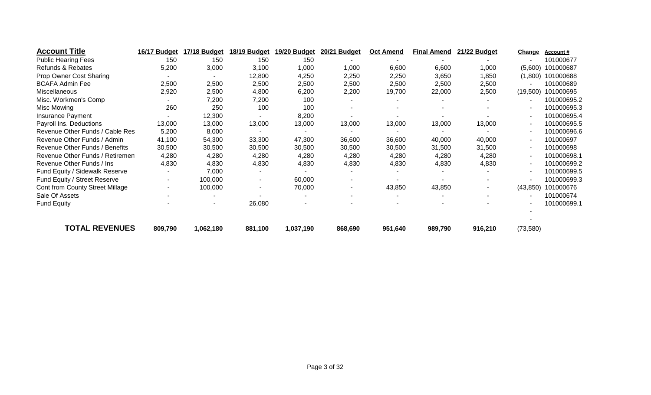| <b>Account Title</b>            | 16/17 Budget   | 17/18 Budget             | 18/19 Budget | 19/20 Budget | 20/21 Budget | <b>Oct Amend</b> | <b>Final Amend</b> | 21/22 Budget | Change    | Account#    |
|---------------------------------|----------------|--------------------------|--------------|--------------|--------------|------------------|--------------------|--------------|-----------|-------------|
| <b>Public Hearing Fees</b>      | 150            | 150                      | 150          | 150          |              |                  |                    |              |           | 101000677   |
| Refunds & Rebates               | 5,200          | 3,000                    | 3,100        | 1,000        | 1,000        | 6,600            | 6,600              | 1,000        | (5,600)   | 101000687   |
| Prop Owner Cost Sharing         |                | $\overline{\phantom{a}}$ | 12,800       | 4,250        | 2,250        | 2,250            | 3,650              | 1,850        | (1,800)   | 101000688   |
| <b>BCAFA Admin Fee</b>          | 2,500          | 2,500                    | 2,500        | 2,500        | 2,500        | 2,500            | 2,500              | 2,500        |           | 101000689   |
| Miscellaneous                   | 2,920          | 2,500                    | 4,800        | 6,200        | 2,200        | 19,700           | 22,000             | 2,500        | (19, 500) | 101000695   |
| Misc. Workmen's Comp            |                | 7,200                    | 7,200        | 100          |              |                  |                    |              |           | 101000695.2 |
| Misc Mowing                     | 260            | 250                      | 100          | 100          |              |                  |                    |              |           | 101000695.3 |
| Insurance Payment               |                | 12,300                   |              | 8,200        |              |                  |                    |              |           | 101000695.4 |
| Payroll Ins. Deductions         | 13,000         | 13,000                   | 13,000       | 13,000       | 13,000       | 13,000           | 13,000             | 13,000       |           | 101000695.5 |
| Revenue Other Funds / Cable Res | 5,200          | 8,000                    |              |              |              |                  |                    |              |           | 101000696.6 |
| Revenue Other Funds / Admin     | 41,100         | 54,300                   | 33,300       | 47,300       | 36,600       | 36,600           | 40,000             | 40,000       |           | 101000697   |
| Revenue Other Funds / Benefits  | 30,500         | 30,500                   | 30,500       | 30,500       | 30,500       | 30,500           | 31,500             | 31,500       |           | 101000698   |
| Revenue Other Funds / Retiremen | 4,280          | 4,280                    | 4,280        | 4,280        | 4,280        | 4,280            | 4,280              | 4,280        |           | 101000698.1 |
| Revenue Other Funds / Ins       | 4,830          | 4,830                    | 4,830        | 4,830        | 4,830        | 4,830            | 4,830              | 4,830        |           | 101000699.2 |
| Fund Equity / Sidewalk Reserve  | $\blacksquare$ | 7,000                    |              |              |              |                  |                    |              |           | 101000699.5 |
| Fund Equity / Street Reserve    | $\sim$         | 100,000                  |              | 60,000       | ٠            |                  |                    |              |           | 101000699.3 |
| Cont from County Street Millage | $\sim$         | 100,000                  |              | 70,000       | ۰            | 43,850           | 43,850             |              | (43, 850) | 101000676   |
| Sale Of Assets                  |                | $\overline{\phantom{a}}$ |              |              |              |                  |                    |              |           | 101000674   |
| <b>Fund Equity</b>              |                | $\overline{\phantom{a}}$ | 26,080       |              |              |                  |                    |              |           | 101000699.1 |
| <b>TOTAL REVENUES</b>           | 809,790        | 1,062,180                | 881,100      | 1,037,190    | 868,690      | 951,640          | 989,790            | 916,210      | (73, 580) |             |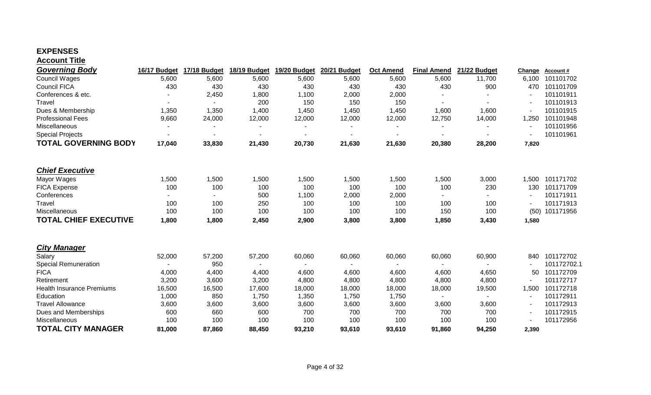#### **EXPENSES Account Title**

| <b>Governing Body</b>            | 16/17 Budget             | 17/18 Budget | 18/19 Budget | 19/20 Budget             | 20/21 Budget | <b>Oct Amend</b> | <b>Final Amend</b>       | 21/22 Budget   | <b>Change</b> | Account#    |
|----------------------------------|--------------------------|--------------|--------------|--------------------------|--------------|------------------|--------------------------|----------------|---------------|-------------|
| <b>Council Wages</b>             | 5,600                    | 5,600        | 5,600        | 5,600                    | 5,600        | 5,600            | 5,600                    | 11,700         | 6,100         | 101101702   |
| <b>Council FICA</b>              | 430                      | 430          | 430          | 430                      | 430          | 430              | 430                      | 900            | 470           | 101101709   |
| Conferences & etc.               |                          | 2,450        | 1,800        | 1,100                    | 2,000        | 2,000            |                          |                |               | 101101911   |
| Travel                           | $\overline{\phantom{a}}$ |              | 200          | 150                      | 150          | 150              |                          |                |               | 101101913   |
| Dues & Membership                | 1,350                    | 1,350        | 1,400        | 1,450                    | 1,450        | 1,450            | 1,600                    | 1,600          |               | 101101915   |
| <b>Professional Fees</b>         | 9,660                    | 24,000       | 12,000       | 12,000                   | 12,000       | 12,000           | 12,750                   | 14,000         | 1,250         | 101101948   |
| Miscellaneous                    |                          |              |              |                          |              |                  |                          |                |               | 101101956   |
| <b>Special Projects</b>          | $\overline{\phantom{a}}$ |              |              | $\overline{\phantom{a}}$ |              |                  | $\blacksquare$           |                |               | 101101961   |
| <b>TOTAL GOVERNING BODY</b>      | 17,040                   | 33,830       | 21,430       | 20,730                   | 21,630       | 21,630           | 20,380                   | 28,200         | 7,820         |             |
| <b>Chief Executive</b>           |                          |              |              |                          |              |                  |                          |                |               |             |
| Mayor Wages                      | 1,500                    | 1,500        | 1,500        | 1,500                    | 1,500        | 1,500            | 1,500                    | 3,000          | 1,500         | 101171702   |
| <b>FICA Expense</b>              | 100                      | 100          | 100          | 100                      | 100          | 100              | 100                      | 230            | 130           | 101171709   |
| Conferences                      | $\blacksquare$           | -            | 500          | 1,100                    | 2,000        | 2,000            | $\overline{\phantom{a}}$ |                |               | 101171911   |
| Travel                           | 100                      | 100          | 250          | 100                      | 100          | 100              | 100                      | 100            |               | 101171913   |
| Miscellaneous                    | 100                      | 100          | 100          | 100                      | 100          | 100              | 150                      | 100            | (50)          | 101171956   |
| <b>TOTAL CHIEF EXECUTIVE</b>     | 1,800                    | 1,800        | 2,450        | 2,900                    | 3,800        |                  | 1,850                    | 3,430          |               |             |
|                                  |                          |              |              |                          |              | 3,800            |                          |                | 1,580         |             |
| <b>City Manager</b>              |                          |              |              |                          |              |                  |                          |                |               |             |
| Salary                           | 52,000                   | 57,200       | 57,200       | 60,060                   | 60,060       | 60,060           | 60,060                   | 60,900         | 840           | 101172702   |
| <b>Special Remuneration</b>      |                          | 950          |              | $\sim$                   | $\sim$       | $\blacksquare$   | $\sim$                   | $\blacksquare$ |               | 101172702.1 |
| <b>FICA</b>                      | 4,000                    | 4,400        | 4,400        | 4,600                    | 4,600        | 4,600            | 4,600                    | 4,650          | 50            | 101172709   |
| Retirement                       | 3,200                    | 3,600        | 3,200        | 4,800                    | 4,800        | 4,800            | 4,800                    | 4,800          |               | 101172717   |
| <b>Health Insurance Premiums</b> | 16,500                   | 16,500       | 17,600       | 18,000                   | 18,000       | 18,000           | 18,000                   | 19,500         | 1,500         | 101172718   |
| Education                        | 1,000                    | 850          | 1,750        | 1,350                    | 1,750        | 1,750            |                          |                |               | 101172911   |
| <b>Travel Allowance</b>          | 3,600                    | 3,600        | 3,600        | 3,600                    | 3,600        | 3,600            | 3,600                    | 3,600          |               | 101172913   |
| Dues and Memberships             | 600                      | 660          | 600          | 700                      | 700          | 700              | 700                      | 700            |               | 101172915   |
| Miscellaneous                    | 100                      | 100          | 100          | 100                      | 100          | 100              | 100                      | 100            |               | 101172956   |
| <b>TOTAL CITY MANAGER</b>        | 81,000                   | 87,860       | 88,450       | 93,210                   | 93,610       | 93,610           | 91,860                   | 94,250         | 2,390         |             |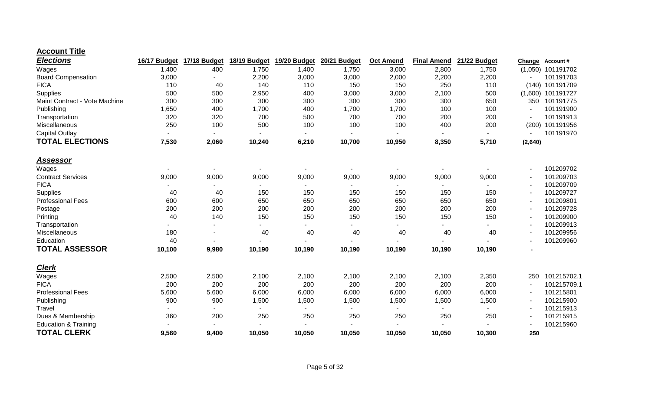| <b>Elections</b>                | 16/17 Budget | 17/18 Budget | 18/19 Budget | 19/20 Budget | <b>20/21 Budget</b> | <b>Oct Amend</b> | <b>Final Amend</b> | 21/22 Budget | Change         | <b>Account#</b>     |
|---------------------------------|--------------|--------------|--------------|--------------|---------------------|------------------|--------------------|--------------|----------------|---------------------|
| Wages                           | 1,400        | 400          | 1,750        | 1,400        | 1,750               | 3,000            | 2,800              | 1,750        |                | $(1,050)$ 101191702 |
| <b>Board Compensation</b>       | 3,000        |              | 2,200        | 3,000        | 3,000               | 2,000            | 2,200              | 2,200        |                | 101191703           |
| <b>FICA</b>                     | 110          | 40           | 140          | 110          | 150                 | 150              | 250                | 110          |                | (140) 101191709     |
| Supplies                        | 500          | 500          | 2,950        | 400          | 3,000               | 3,000            | 2,100              | 500          |                | $(1,600)$ 101191727 |
| Maint Contract - Vote Machine   | 300          | 300          | 300          | 300          | 300                 | 300              | 300                | 650          | 350            | 101191775           |
| Publishing                      | 1,650        | 400          | 1,700        | 400          | 1,700               | 1,700            | 100                | 100          |                | 101191900           |
| Transportation                  | 320          | 320          | 700          | 500          | 700                 | 700              | 200                | 200          |                | 101191913           |
| Miscellaneous                   | 250          | 100          | 500          | 100          | 100                 | 100              | 400                | 200          | (200)          | 101191956           |
| <b>Capital Outlay</b>           |              |              |              |              |                     |                  |                    |              |                | 101191970           |
| <b>TOTAL ELECTIONS</b>          | 7,530        | 2,060        | 10,240       | 6,210        | 10,700              | 10,950           | 8,350              | 5,710        | (2,640)        |                     |
| <u>Assessor</u>                 |              |              |              |              |                     |                  |                    |              |                |                     |
| Wages                           |              |              |              |              |                     |                  |                    |              |                | 101209702           |
| <b>Contract Services</b>        | 9,000        | 9,000        | 9,000        | 9,000        | 9,000               | 9,000            | 9,000              | 9,000        |                | 101209703           |
| <b>FICA</b>                     |              |              |              |              |                     |                  |                    |              |                | 101209709           |
| Supplies                        | 40           | 40           | 150          | 150          | 150                 | 150              | 150                | 150          |                | 101209727           |
| <b>Professional Fees</b>        | 600          | 600          | 650          | 650          | 650                 | 650              | 650                | 650          |                | 101209801           |
| Postage                         | 200          | 200          | 200          | 200          | 200                 | 200              | 200                | 200          |                | 101209728           |
| Printing                        | 40           | 140          | 150          | 150          | 150                 | 150              | 150                | 150          |                | 101209900           |
| Transportation                  |              |              |              |              |                     |                  |                    |              |                | 101209913           |
| Miscellaneous                   | 180          |              | 40           | 40           | 40                  | 40               | 40                 | 40           |                | 101209956           |
| Education                       | 40           |              |              |              |                     |                  |                    |              |                | 101209960           |
| <b>TOTAL ASSESSOR</b>           | 10,100       | 9,980        | 10,190       | 10,190       | 10,190              | 10,190           | 10,190             | 10,190       | $\blacksquare$ |                     |
| <b>Clerk</b>                    |              |              |              |              |                     |                  |                    |              |                |                     |
| Wages                           | 2,500        | 2,500        | 2,100        | 2,100        | 2,100               | 2,100            | 2,100              | 2,350        | 250            | 101215702.1         |
| <b>FICA</b>                     | 200          | 200          | 200          | 200          | 200                 | 200              | 200                | 200          |                | 101215709.1         |
| <b>Professional Fees</b>        | 5,600        | 5,600        | 6,000        | 6,000        | 6,000               | 6,000            | 6,000              | 6,000        |                | 101215801           |
| Publishing                      | 900          | 900          | 1,500        | 1,500        | 1,500               | 1,500            | 1,500              | 1,500        |                | 101215900           |
| Travel                          |              |              |              |              |                     |                  |                    |              |                | 101215913           |
| Dues & Membership               | 360          | 200          | 250          | 250          | 250                 | 250              | 250                | 250          |                | 101215915           |
| <b>Education &amp; Training</b> |              |              |              |              |                     |                  |                    |              |                | 101215960           |
| <b>TOTAL CLERK</b>              | 9,560        | 9,400        | 10,050       | 10,050       | 10,050              | 10,050           | 10,050             | 10,300       | 250            |                     |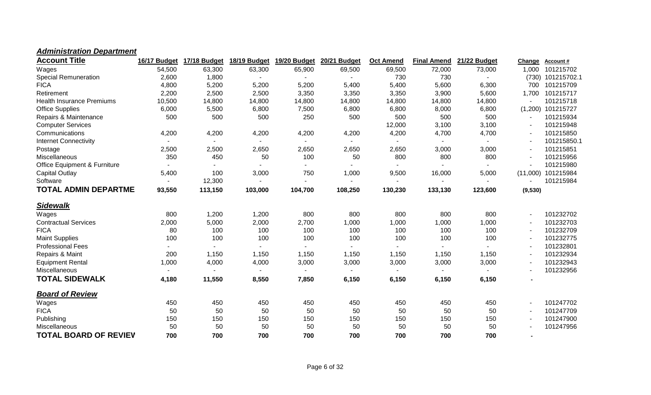### *Administration Department*

| <b>Account Title</b>                    | 16/17 Budget   | 17/18 Budget | 18/19 Budget | 19/20 Budget             | 20/21 Budget   | <b>Oct Amend</b>         | <b>Final Amend</b> | 21/22 Budget | Change   | <b>Account#</b>   |
|-----------------------------------------|----------------|--------------|--------------|--------------------------|----------------|--------------------------|--------------------|--------------|----------|-------------------|
| Wages                                   | 54,500         | 63,300       | 63,300       | 65,900                   | 69,500         | 69,500                   | 72,000             | 73,000       | 1,000    | 101215702         |
| <b>Special Remuneration</b>             | 2,600          | 1,800        |              |                          |                | 730                      | 730                |              |          | (730) 101215702.1 |
| <b>FICA</b>                             | 4,800          | 5,200        | 5,200        | 5,200                    | 5,400          | 5,400                    | 5,600              | 6,300        | 700      | 101215709         |
| Retirement                              | 2,200          | 2,500        | 2,500        | 3,350                    | 3,350          | 3,350                    | 3,900              | 5,600        | 1,700    | 101215717         |
| <b>Health Insurance Premiums</b>        | 10,500         | 14,800       | 14,800       | 14,800                   | 14,800         | 14,800                   | 14,800             | 14,800       |          | 101215718         |
| <b>Office Supplies</b>                  | 6,000          | 5,500        | 6,800        | 7,500                    | 6,800          | 6,800                    | 8,000              | 6,800        |          | (1,200) 101215727 |
| Repairs & Maintenance                   | 500            | 500          | 500          | 250                      | 500            | 500                      | 500                | 500          |          | 101215934         |
| <b>Computer Services</b>                |                |              |              |                          |                | 12,000                   | 3,100              | 3,100        |          | 101215948         |
| Communications                          | 4,200          | 4,200        | 4,200        | 4,200                    | 4,200          | 4,200                    | 4,700              | 4,700        |          | 101215850         |
| <b>Internet Connectivity</b>            |                |              |              | $\blacksquare$           | $\blacksquare$ |                          |                    |              |          | 101215850.1       |
| Postage                                 | 2,500          | 2,500        | 2,650        | 2,650                    | 2,650          | 2,650                    | 3,000              | 3,000        |          | 101215851         |
| Miscellaneous                           | 350            | 450          | 50           | 100                      | 50             | 800                      | 800                | 800          |          | 101215956         |
| <b>Office Equipment &amp; Furniture</b> | $\blacksquare$ |              |              | $\overline{\phantom{0}}$ | $\blacksquare$ | $\overline{\phantom{a}}$ |                    |              |          | 101215980         |
| Capital Outlay                          | 5,400          | 100          | 3,000        | 750                      | 1,000          | 9,500                    | 16,000             | 5,000        | (11,000) | 101215984         |
| Software                                | $\blacksquare$ | 12,300       |              | $\blacksquare$           | $\blacksquare$ | ۰                        |                    |              |          | 101215984         |
| <b>TOTAL ADMIN DEPARTME</b>             | 93,550         | 113,150      | 103,000      | 104,700                  | 108,250        | 130,230                  | 133,130            | 123,600      | (9,530)  |                   |
| <b>Sidewalk</b>                         |                |              |              |                          |                |                          |                    |              |          |                   |
| Wages                                   | 800            | 1,200        | 1,200        | 800                      | 800            | 800                      | 800                | 800          |          | 101232702         |
| <b>Contractual Services</b>             | 2,000          | 5,000        | 2,000        | 2,700                    | 1,000          | 1,000                    | 1,000              | 1,000        |          | 101232703         |
| <b>FICA</b>                             | 80             | 100          | 100          | 100                      | 100            | 100                      | 100                | 100          |          | 101232709         |
| <b>Maint Supplies</b>                   | 100            | 100          | 100          | 100                      | 100            | 100                      | 100                | 100          |          | 101232775         |
| <b>Professional Fees</b>                |                |              |              |                          | $\blacksquare$ |                          |                    |              |          | 101232801         |
| Repairs & Maint                         | 200            | 1,150        | 1,150        | 1,150                    | 1,150          | 1,150                    | 1,150              | 1,150        |          | 101232934         |
| <b>Equipment Rental</b>                 | 1,000          | 4,000        | 4,000        | 3,000                    | 3,000          | 3,000                    | 3,000              | 3,000        |          | 101232943         |
| Miscellaneous                           | $\blacksquare$ |              |              | $\overline{\phantom{0}}$ | $\blacksquare$ | $\overline{\phantom{a}}$ |                    |              |          | 101232956         |
| <b>TOTAL SIDEWALK</b>                   | 4,180          | 11,550       | 8,550        | 7,850                    | 6,150          | 6,150                    | 6,150              | 6,150        |          |                   |
| <b>Board of Review</b>                  |                |              |              |                          |                |                          |                    |              |          |                   |
| Wages                                   | 450            | 450          | 450          | 450                      | 450            | 450                      | 450                | 450          |          | 101247702         |
| <b>FICA</b>                             | 50             | 50           | 50           | 50                       | 50             | 50                       | 50                 | 50           |          | 101247709         |
| Publishing                              | 150            | 150          | 150          | 150                      | 150            | 150                      | 150                | 150          |          | 101247900         |
| Miscellaneous                           | 50             | 50           | 50           | 50                       | 50             | 50                       | 50                 | 50           |          | 101247956         |
| <b>TOTAL BOARD OF REVIEV</b>            | 700            | 700          | 700          | 700                      | 700            | 700                      | 700                | 700          |          |                   |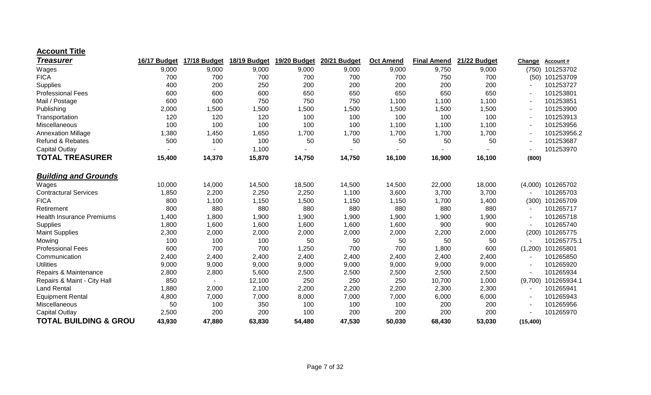| <b>Treasurer</b>                 | 16/17 Budget | 17/18 Budget | 18/19 Budget | 19/20 Budget | 20/21 Budget | <b>Oct Amend</b> | <b>Final Amend</b> | 21/22 Budget | Change    | <b>Account#</b>   |
|----------------------------------|--------------|--------------|--------------|--------------|--------------|------------------|--------------------|--------------|-----------|-------------------|
| Wages                            | 9,000        | 9,000        | 9,000        | 9,000        | 9,000        | 9,000            | 9,750              | 9,000        | (750)     | 101253702         |
| <b>FICA</b>                      | 700          | 700          | 700          | 700          | 700          | 700              | 750                | 700          | (50)      | 101253709         |
| Supplies                         | 400          | 200          | 250          | 200          | 200          | 200              | 200                | 200          |           | 101253727         |
| <b>Professional Fees</b>         | 600          | 600          | 600          | 650          | 650          | 650              | 650                | 650          |           | 101253801         |
| Mail / Postage                   | 600          | 600          | 750          | 750          | 750          | 1,100            | 1,100              | 1,100        |           | 101253851         |
| Publishing                       | 2,000        | 1,500        | 1,500        | 1,500        | 1,500        | 1,500            | 1,500              | 1,500        |           | 101253900         |
| Transportation                   | 120          | 120          | 120          | 100          | 100          | 100              | 100                | 100          |           | 101253913         |
| Miscellaneous                    | 100          | 100          | 100          | 100          | 100          | 1,100            | 1,100              | 1,100        |           | 101253956         |
| <b>Annexation Millage</b>        | 1,380        | 1,450        | 1,650        | 1,700        | 1,700        | 1,700            | 1,700              | 1,700        |           | 101253956.2       |
| <b>Refund &amp; Rebates</b>      | 500          | 100          | 100          | 50           | 50           | 50               | 50                 | 50           |           | 101253687         |
| <b>Capital Outlay</b>            |              |              | 1,100        |              |              |                  |                    |              |           | 101253970         |
| <b>TOTAL TREASURER</b>           | 15,400       | 14,370       | 15,870       | 14,750       | 14,750       | 16,100           | 16,900             | 16,100       | (800)     |                   |
| <b>Building and Grounds</b>      |              |              |              |              |              |                  |                    |              |           |                   |
| Wages                            | 10,000       | 14,000       | 14,500       | 18,500       | 14,500       | 14,500           | 22,000             | 18,000       |           | (4,000) 101265702 |
| <b>Contractural Services</b>     | 1,850        | 2,200        | 2,250        | 2,250        | 1,100        | 3,600            | 3,700              | 3,700        |           | 101265703         |
| <b>FICA</b>                      | 800          | 1,100        | 1,150        | 1,500        | 1,150        | 1,150            | 1,700              | 1,400        | (300)     | 101265709         |
| Retirement                       | 800          | 880          | 880          | 880          | 880          | 880              | 880                | 880          |           | 101265717         |
| <b>Health Insurance Premiums</b> | 1,400        | 1,800        | 1,900        | 1,900        | 1,900        | 1,900            | 1,900              | 1,900        |           | 101265718         |
| Supplies                         | 1,800        | 1,600        | 1,600        | 1,600        | 1,600        | 1,600            | 900                | 900          |           | 101265740         |
| <b>Maint Supplies</b>            | 2,300        | 2,000        | 2,000        | 2,000        | 2,000        | 2,000            | 2,200              | 2,000        | (200)     | 101265775         |
| Mowing                           | 100          | 100          | 100          | 50           | 50           | 50               | 50                 | 50           |           | 101265775.1       |
| <b>Professional Fees</b>         | 600          | 700          | 700          | 1,250        | 700          | 700              | 1,800              | 600          | (1,200)   | 101265801         |
| Communication                    | 2,400        | 2,400        | 2,400        | 2,400        | 2,400        | 2,400            | 2,400              | 2,400        |           | 101265850         |
| <b>Utilities</b>                 | 9,000        | 9,000        | 9,000        | 9,000        | 9,000        | 9,000            | 9,000              | 9,000        |           | 101265920         |
| Repairs & Maintenance            | 2,800        | 2,800        | 5,600        | 2,500        | 2,500        | 2,500            | 2,500              | 2,500        |           | 101265934         |
| Repairs & Maint - City Hall      | 850          |              | 12,100       | 250          | 250          | 250              | 10,700             | 1,000        | (9,700)   | 101265934.1       |
| <b>Land Rental</b>               | 1,880        | 2,000        | 2,100        | 2,200        | 2,200        | 2,200            | 2,300              | 2,300        |           | 101265941         |
| <b>Equipment Rental</b>          | 4,800        | 7,000        | 7,000        | 8,000        | 7,000        | 7,000            | 6,000              | 6,000        |           | 101265943         |
| Miscellaneous                    | 50           | 100          | 350          | 100          | 100          | 100              | 200                | 200          |           | 101265956         |
| <b>Capital Outlay</b>            | 2,500        | 200          | 200          | 100          | 200          | 200              | 200                | 200          |           | 101265970         |
| <b>TOTAL BUILDING &amp; GROU</b> | 43,930       | 47,880       | 63,830       | 54,480       | 47,530       | 50,030           | 68,430             | 53,030       | (15, 400) |                   |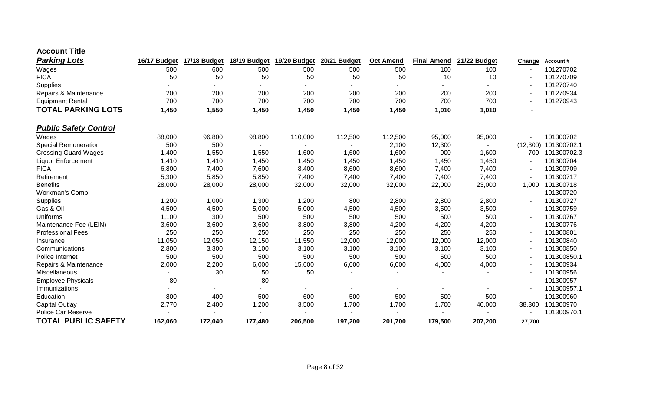| <b>Account Title</b> |  |
|----------------------|--|
|----------------------|--|

| <b>Parking Lots</b>          | 16/17 Budget | 17/18 Budget | 18/19 Budget | 19/20 Budget   | 20/21 Budget   | <b>Oct Amend</b> | <b>Final Amend</b> | 21/22 Budget | Change   | Account #   |
|------------------------------|--------------|--------------|--------------|----------------|----------------|------------------|--------------------|--------------|----------|-------------|
| Wages                        | 500          | 600          | 500          | 500            | 500            | 500              | 100                | 100          |          | 101270702   |
| <b>FICA</b>                  | 50           | 50           | 50           | 50             | 50             | 50               | 10                 | 10           |          | 101270709   |
| Supplies                     |              |              |              |                |                |                  |                    |              |          | 101270740   |
| Repairs & Maintenance        | 200          | 200          | 200          | 200            | 200            | 200              | 200                | 200          |          | 101270934   |
| <b>Equipment Rental</b>      | 700          | 700          | 700          | 700            | 700            | 700              | 700                | 700          |          | 101270943   |
| <b>TOTAL PARKING LOTS</b>    | 1,450        | 1,550        | 1,450        | 1,450          | 1,450          | 1,450            | 1,010              | 1,010        |          |             |
| <b>Public Safety Control</b> |              |              |              |                |                |                  |                    |              |          |             |
| Wages                        | 88,000       | 96,800       | 98,800       | 110,000        | 112,500        | 112,500          | 95,000             | 95,000       |          | 101300702   |
| <b>Special Remuneration</b>  | 500          | 500          |              |                |                | 2,100            | 12,300             |              | (12,300) | 101300702.1 |
| <b>Crossing Guard Wages</b>  | 1,400        | 1,550        | 1,550        | 1,600          | 1,600          | 1,600            | 900                | 1,600        | 700      | 101300702.3 |
| <b>Liquor Enforcement</b>    | 1,410        | 1,410        | 1,450        | 1,450          | 1,450          | 1,450            | 1,450              | 1,450        |          | 101300704   |
| <b>FICA</b>                  | 6,800        | 7,400        | 7,600        | 8,400          | 8,600          | 8,600            | 7,400              | 7,400        |          | 101300709   |
| Retirement                   | 5,300        | 5,850        | 5,850        | 7,400          | 7,400          | 7,400            | 7,400              | 7,400        |          | 101300717   |
| <b>Benefits</b>              | 28,000       | 28,000       | 28,000       | 32,000         | 32,000         | 32,000           | 22,000             | 23,000       | 1,000    | 101300718   |
| Workman's Comp               |              |              | н.           | $\blacksquare$ | $\blacksquare$ | $\blacksquare$   | $\sim$             | $\sim$       |          | 101300720   |
| Supplies                     | 1,200        | 1,000        | 1,300        | 1,200          | 800            | 2,800            | 2,800              | 2,800        |          | 101300727   |
| Gas & Oil                    | 4,500        | 4,500        | 5,000        | 5,000          | 4,500          | 4,500            | 3,500              | 3,500        |          | 101300759   |
| Uniforms                     | 1,100        | 300          | 500          | 500            | 500            | 500              | 500                | 500          |          | 101300767   |
| Maintenance Fee (LEIN)       | 3,600        | 3,600        | 3,600        | 3,800          | 3,800          | 4,200            | 4,200              | 4,200        |          | 101300776   |
| <b>Professional Fees</b>     | 250          | 250          | 250          | 250            | 250            | 250              | 250                | 250          |          | 101300801   |
| Insurance                    | 11,050       | 12,050       | 12,150       | 11,550         | 12,000         | 12,000           | 12,000             | 12,000       |          | 101300840   |
| Communications               | 2,800        | 3,300        | 3,100        | 3,100          | 3,100          | 3,100            | 3,100              | 3,100        |          | 101300850   |
| Police Internet              | 500          | 500          | 500          | 500            | 500            | 500              | 500                | 500          |          | 101300850.1 |
| Repairs & Maintenance        | 2,000        | 2,200        | 6,000        | 15,600         | 6,000          | 6,000            | 4,000              | 4,000        |          | 101300934   |
| Miscellaneous                |              | 30           | 50           | 50             |                |                  |                    |              |          | 101300956   |
| <b>Employee Physicals</b>    | 80           |              | 80           |                |                |                  |                    |              |          | 101300957   |
| Immunizations                |              |              |              |                |                |                  |                    |              |          | 101300957.1 |
| Education                    | 800          | 400          | 500          | 600            | 500            | 500              | 500                | 500          |          | 101300960   |
| <b>Capital Outlay</b>        | 2,770        | 2,400        | 1,200        | 3,500          | 1,700          | 1,700            | 1,700              | 40,000       | 38,300   | 101300970   |
| Police Car Reserve           |              |              |              |                |                |                  |                    |              |          | 101300970.1 |
| <b>TOTAL PUBLIC SAFETY</b>   | 162,060      | 172,040      | 177,480      | 206,500        | 197,200        | 201,700          | 179,500            | 207,200      | 27,700   |             |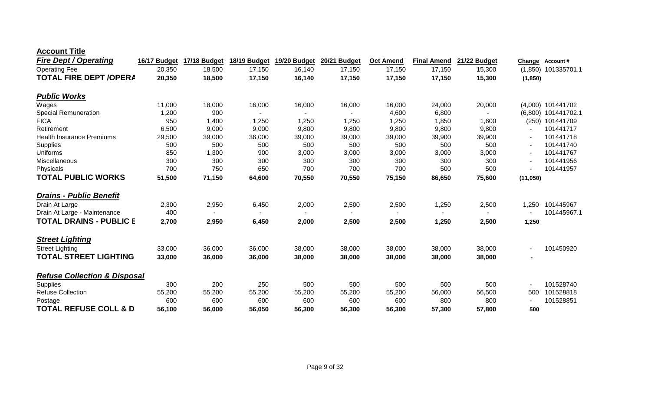| <b>Fire Dept / Operating</b>            | 16/17 Budget | 17/18 Budget | 18/19 Budget | 19/20 Budget | 20/21 Budget | <b>Oct Amend</b> | <b>Final Amend</b> | 21/22 Budget | Change   | Account#              |
|-----------------------------------------|--------------|--------------|--------------|--------------|--------------|------------------|--------------------|--------------|----------|-----------------------|
| <b>Operating Fee</b>                    | 20,350       | 18,500       | 17,150       | 16,140       | 17,150       | 17,150           | 17,150             | 15,300       |          | $(1,850)$ 101335701.1 |
| <b>TOTAL FIRE DEPT /OPERA</b>           | 20,350       | 18,500       | 17,150       | 16,140       | 17,150       | 17,150           | 17,150             | 15,300       | (1,850)  |                       |
| <b>Public Works</b>                     |              |              |              |              |              |                  |                    |              |          |                       |
| Wages                                   | 11,000       | 18,000       | 16,000       | 16,000       | 16,000       | 16,000           | 24,000             | 20,000       |          | (4,000) 101441702     |
| <b>Special Remuneration</b>             | 1,200        | 900          |              |              |              | 4,600            | 6,800              |              |          | (6,800) 101441702.1   |
| <b>FICA</b>                             | 950          | 1,400        | 1,250        | 1,250        | 1,250        | 1,250            | 1,850              | 1,600        |          | (250) 101441709       |
| Retirement                              | 6,500        | 9,000        | 9,000        | 9,800        | 9,800        | 9,800            | 9,800              | 9,800        |          | 101441717             |
| <b>Health Insurance Premiums</b>        | 29,500       | 39,000       | 36,000       | 39,000       | 39,000       | 39,000           | 39,900             | 39,900       |          | 101441718             |
| Supplies                                | 500          | 500          | 500          | 500          | 500          | 500              | 500                | 500          |          | 101441740             |
| Uniforms                                | 850          | 1,300        | 900          | 3,000        | 3,000        | 3,000            | 3,000              | 3,000        |          | 101441767             |
| Miscellaneous                           | 300          | 300          | 300          | 300          | 300          | 300              | 300                | 300          |          | 101441956             |
| Physicals                               | 700          | 750          | 650          | 700          | 700          | 700              | 500                | 500          |          | 101441957             |
| <b>TOTAL PUBLIC WORKS</b>               | 51,500       | 71,150       | 64,600       | 70,550       | 70,550       | 75,150           | 86,650             | 75,600       | (11,050) |                       |
| <b>Drains - Public Benefit</b>          |              |              |              |              |              |                  |                    |              |          |                       |
| Drain At Large                          | 2,300        | 2,950        | 6,450        | 2,000        | 2,500        | 2,500            | 1,250              | 2,500        | 1,250    | 101445967             |
| Drain At Large - Maintenance            | 400          |              |              |              |              | ٠                |                    |              |          | 101445967.1           |
| <b>TOTAL DRAINS - PUBLIC E</b>          | 2,700        | 2,950        | 6,450        | 2,000        | 2,500        | 2,500            | 1,250              | 2,500        | 1,250    |                       |
| <b>Street Lighting</b>                  |              |              |              |              |              |                  |                    |              |          |                       |
| <b>Street Lighting</b>                  | 33,000       | 36,000       | 36,000       | 38,000       | 38,000       | 38,000           | 38,000             | 38,000       |          | 101450920             |
| <b>TOTAL STREET LIGHTING</b>            | 33,000       | 36,000       | 36,000       | 38,000       | 38,000       | 38,000           | 38,000             | 38,000       |          |                       |
| <b>Refuse Collection &amp; Disposal</b> |              |              |              |              |              |                  |                    |              |          |                       |
| Supplies                                | 300          | 200          | 250          | 500          | 500          | 500              | 500                | 500          |          | 101528740             |
| <b>Refuse Collection</b>                | 55,200       | 55,200       | 55,200       | 55,200       | 55,200       | 55,200           | 56,000             | 56,500       | 500      | 101528818             |
| Postage                                 | 600          | 600          | 600          | 600          | 600          | 600              | 800                | 800          |          | 101528851             |
| <b>TOTAL REFUSE COLL &amp; D</b>        | 56,100       | 56,000       | 56,050       | 56,300       | 56,300       | 56,300           | 57,300             | 57,800       | 500      |                       |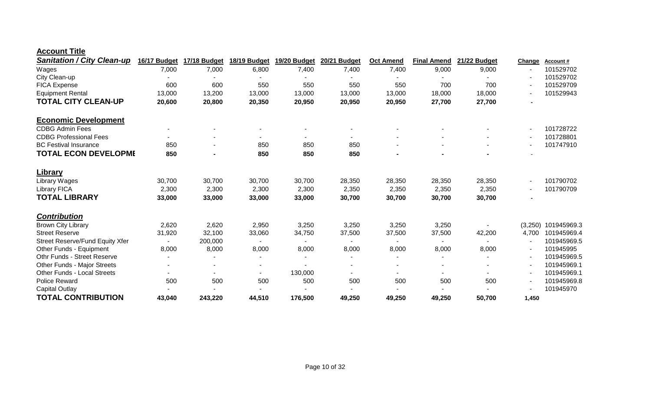| <b>Sanitation / City Clean-up</b>      | 16/17 Budget   | 17/18 Budget   | 18/19 Budget | 19/20 Budget   | 20/21 Budget   | <b>Oct Amend</b>         | <b>Final Amend</b> | 21/22 Budget | Change | Account#            |
|----------------------------------------|----------------|----------------|--------------|----------------|----------------|--------------------------|--------------------|--------------|--------|---------------------|
| Wages                                  | 7,000          | 7,000          | 6,800        | 7,400          | 7,400          | 7,400                    | 9,000              | 9,000        |        | 101529702           |
| City Clean-up                          |                |                |              |                |                |                          |                    |              |        | 101529702           |
| <b>FICA Expense</b>                    | 600            | 600            | 550          | 550            | 550            | 550                      | 700                | 700          |        | 101529709           |
| <b>Equipment Rental</b>                | 13,000         | 13,200         | 13,000       | 13,000         | 13,000         | 13,000                   | 18,000             | 18,000       |        | 101529943           |
| <b>TOTAL CITY CLEAN-UP</b>             | 20,600         | 20,800         | 20,350       | 20,950         | 20,950         | 20,950                   | 27,700             | 27,700       |        |                     |
| <b>Economic Development</b>            |                |                |              |                |                |                          |                    |              |        |                     |
| <b>CDBG Admin Fees</b>                 |                |                |              |                |                |                          |                    |              |        | 101728722           |
| <b>CDBG Professional Fees</b>          | $\blacksquare$ |                | н.           | ۰.             | $\blacksquare$ |                          |                    |              |        | 101728801           |
| <b>BC Festival Insurance</b>           | 850            |                | 850          | 850            | 850            |                          |                    |              |        | 101747910           |
| <b>TOTAL ECON DEVELOPME</b>            | 850            | $\blacksquare$ | 850          | 850            | 850            |                          |                    |              |        |                     |
| <b>Library</b>                         |                |                |              |                |                |                          |                    |              |        |                     |
| Library Wages                          | 30,700         | 30,700         | 30,700       | 30,700         | 28,350         | 28,350                   | 28,350             | 28,350       |        | 101790702           |
| <b>Library FICA</b>                    | 2,300          | 2,300          | 2,300        | 2,300          | 2,350          | 2,350                    | 2,350              | 2,350        |        | 101790709           |
| <b>TOTAL LIBRARY</b>                   | 33,000         | 33,000         | 33,000       | 33,000         | 30,700         | 30,700                   | 30,700             | 30,700       |        |                     |
| <b>Contribution</b>                    |                |                |              |                |                |                          |                    |              |        |                     |
| <b>Brown City Library</b>              | 2,620          | 2,620          | 2,950        | 3,250          | 3,250          | 3,250                    | 3,250              |              |        | (3,250) 101945969.3 |
| <b>Street Reserve</b>                  | 31,920         | 32,100         | 33,060       | 34,750         | 37,500         | 37,500                   | 37,500             | 42,200       | 4,700  | 101945969.4         |
| <b>Street Reserve/Fund Equity Xfer</b> |                | 200,000        |              | $\blacksquare$ |                | $\sim$                   |                    |              |        | 101945969.5         |
| Other Funds - Equipment                | 8,000          | 8,000          | 8,000        | 8,000          | 8,000          | 8,000                    | 8,000              | 8,000        |        | 101945995           |
| Othr Funds - Street Reserve            |                |                |              |                |                |                          |                    |              |        | 101945969.5         |
| Other Funds - Major Streets            | $\blacksquare$ | $\blacksquare$ |              |                |                | $\overline{\phantom{a}}$ |                    |              |        | 101945969.1         |
| <b>Other Funds - Local Streets</b>     |                | $\blacksquare$ |              | 130,000        |                | $\sim$                   |                    |              |        | 101945969.1         |
| Police Reward                          | 500            | 500            | 500          | 500            | 500            | 500                      | 500                | 500          |        | 101945969.8         |
| <b>Capital Outlay</b>                  |                |                |              |                |                |                          |                    |              |        | 101945970           |
| <b>TOTAL CONTRIBUTION</b>              | 43,040         | 243,220        | 44,510       | 176,500        | 49,250         | 49,250                   | 49,250             | 50,700       | 1,450  |                     |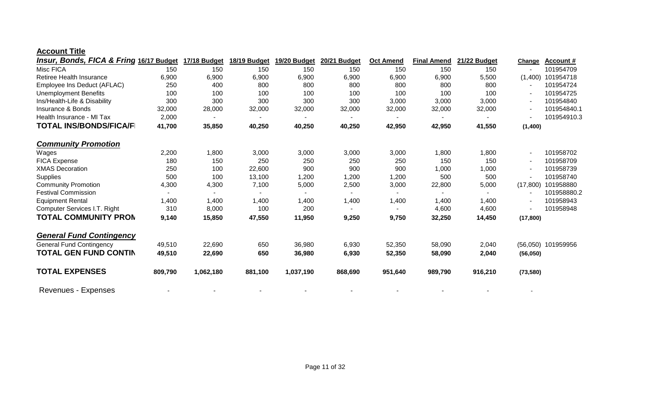| <b>Insur, Bonds, FICA &amp; Fring 16/17 Budget</b> |         | 17/18 Budget | 18/19 Budget | 19/20 Budget | 20/21 Budget | <b>Oct Amend</b> | <b>Final Amend</b> | 21/22 Budget | Change    | <b>Account #</b>   |
|----------------------------------------------------|---------|--------------|--------------|--------------|--------------|------------------|--------------------|--------------|-----------|--------------------|
| Misc FICA                                          | 150     | 150          | 150          | 150          | 150          | 150              | 150                | 150          |           | 101954709          |
| Retiree Health Insurance                           | 6,900   | 6,900        | 6,900        | 6,900        | 6,900        | 6,900            | 6,900              | 5,500        | (1,400)   | 101954718          |
| Employee Ins Deduct (AFLAC)                        | 250     | 400          | 800          | 800          | 800          | 800              | 800                | 800          |           | 101954724          |
| <b>Unemployment Benefits</b>                       | 100     | 100          | 100          | 100          | 100          | 100              | 100                | 100          |           | 101954725          |
| Ins/Health-Life & Disability                       | 300     | 300          | 300          | 300          | 300          | 3,000            | 3,000              | 3,000        |           | 101954840          |
| Insurance & Bonds                                  | 32,000  | 28,000       | 32,000       | 32,000       | 32,000       | 32,000           | 32,000             | 32,000       |           | 101954840.1        |
| Health Insurance - MI Tax                          | 2,000   |              |              |              |              |                  |                    |              |           | 101954910.3        |
| <b>TOTAL INS/BONDS/FICA/F</b>                      | 41,700  | 35,850       | 40,250       | 40,250       | 40,250       | 42,950           | 42,950             | 41,550       | (1,400)   |                    |
| <b>Community Promotion</b>                         |         |              |              |              |              |                  |                    |              |           |                    |
| Wages                                              | 2,200   | 1,800        | 3,000        | 3,000        | 3,000        | 3,000            | 1,800              | 1,800        |           | 101958702          |
| <b>FICA Expense</b>                                | 180     | 150          | 250          | 250          | 250          | 250              | 150                | 150          |           | 101958709          |
| <b>XMAS Decoration</b>                             | 250     | 100          | 22,600       | 900          | 900          | 900              | 1,000              | 1,000        |           | 101958739          |
| <b>Supplies</b>                                    | 500     | 100          | 13,100       | 1,200        | 1,200        | 1,200            | 500                | 500          |           | 101958740          |
| <b>Community Promotion</b>                         | 4,300   | 4,300        | 7,100        | 5,000        | 2,500        | 3,000            | 22,800             | 5,000        | (17, 800) | 101958880          |
| <b>Festival Commission</b>                         |         |              |              |              |              |                  |                    |              |           | 101958880.2        |
| <b>Equipment Rental</b>                            | 1,400   | 1,400        | 1,400        | 1,400        | 1,400        | 1,400            | 1,400              | 1,400        |           | 101958943          |
| Computer Services I.T. Right                       | 310     | 8,000        | 100          | 200          |              |                  | 4,600              | 4,600        |           | 101958948          |
| <b>TOTAL COMMUNITY PRON</b>                        | 9,140   | 15,850       | 47,550       | 11,950       | 9,250        | 9,750            | 32,250             | 14,450       | (17, 800) |                    |
| <b>General Fund Contingency</b>                    |         |              |              |              |              |                  |                    |              |           |                    |
| <b>General Fund Contingency</b>                    | 49,510  | 22,690       | 650          | 36,980       | 6,930        | 52,350           | 58,090             | 2,040        |           | (56,050) 101959956 |
| TOTAL GEN FUND CONTIN                              | 49,510  | 22,690       | 650          | 36,980       | 6,930        | 52,350           | 58,090             | 2,040        | (56,050)  |                    |
| <b>TOTAL EXPENSES</b>                              | 809,790 | 1,062,180    | 881,100      | 1,037,190    | 868,690      | 951,640          | 989,790            | 916,210      | (73, 580) |                    |
| Revenues - Expenses                                |         |              |              |              |              |                  |                    |              |           |                    |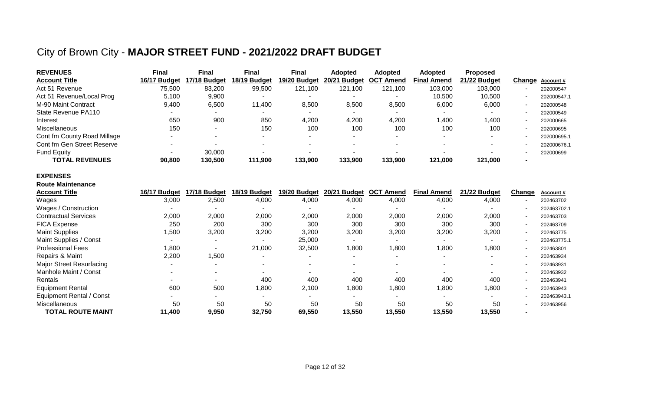## City of Brown City - **MAJOR STREET FUND - 2021/2022 DRAFT BUDGET**

| <b>REVENUES</b>             | Final        | <b>Final</b> | <b>Final</b> | <b>Final</b>             | <b>Adopted</b>           | <b>Adopted</b>             | <b>Adopted</b>     | <b>Proposed</b> |                          |                  |
|-----------------------------|--------------|--------------|--------------|--------------------------|--------------------------|----------------------------|--------------------|-----------------|--------------------------|------------------|
| <b>Account Title</b>        | 16/17 Budget | 17/18 Budget | 18/19 Budget | 19/20 Budget             | 20/21 Budget             | <b>OCT</b><br><b>Amend</b> | <b>Final Amend</b> | 21/22 Budget    |                          | Change Account # |
| Act 51 Revenue              | 75,500       | 83,200       | 99,500       | 121,100                  | 121,100                  | 121,100                    | 103,000            | 103,000         | $\overline{\phantom{a}}$ | 202000547        |
| Act 51 Revenue/Local Prog   | 5,100        | 9,900        |              |                          |                          |                            | 10,500             | 10,500          | $\overline{\phantom{a}}$ | 202000547.1      |
| M-90 Maint Contract         | 9,400        | 6,500        | 11.400       | 8,500                    | 8,500                    | 8,500                      | 6,000              | 6,000           | $\overline{\phantom{a}}$ | 202000548        |
| State Revenue PA110         |              |              |              | $\overline{\phantom{a}}$ | $\overline{\phantom{0}}$ | -                          |                    |                 | $\overline{\phantom{a}}$ | 202000549        |
| Interest                    | 650          | 900          | 850          | 4,200                    | 4,200                    | 4,200                      | 1,400              | 1,400           | $\overline{\phantom{a}}$ | 202000665        |
| <b>Miscellaneous</b>        | 150          |              | 150          | 100                      | 100                      | 100                        | 100                | 100             | $\overline{\phantom{a}}$ | 202000695        |
| Cont fm County Road Millage |              |              |              | $\sim$                   |                          | $\overline{\phantom{0}}$   |                    |                 | $\overline{\phantom{a}}$ | 202000695.1      |
| Cont fm Gen Street Reserve  |              |              |              |                          |                          |                            |                    |                 |                          | 202000676.1      |
| <b>Fund Equity</b>          |              | 30,000       |              |                          |                          |                            |                    |                 |                          | 202000699        |
| <b>TOTAL REVENUES</b>       | 90,800       | 130,500      | 111.900      | 133.900                  | 133.900                  | 133,900                    | 121.000            | 121.000         | $\overline{\phantom{0}}$ |                  |

#### **EXPENSES**

| <b>Route Maintenance</b>        |              |              |              |              |                        |                            |                    |              |                       |             |
|---------------------------------|--------------|--------------|--------------|--------------|------------------------|----------------------------|--------------------|--------------|-----------------------|-------------|
| <b>Account Title</b>            | 16/17 Budget | 17/18 Budget | 18/19 Budget | 19/20 Budget | 20/21<br><b>Budget</b> | <b>OCT</b><br><b>Amend</b> | <b>Final Amend</b> | 21/22 Budget | Change                | Account #   |
| Wages                           | 3,000        | 2,500        | 4,000        | 4,000        | 4,000                  | 4,000                      | 4,000              | 4,000        | ۰.                    | 202463702   |
| Wages / Construction            |              |              |              |              |                        |                            |                    |              | ۰                     | 202463702.1 |
| <b>Contractual Services</b>     | 2,000        | 2,000        | 2,000        | 2,000        | 2,000                  | 2,000                      | 2,000              | 2,000        | ۰.                    | 202463703   |
| <b>FICA Expense</b>             | 250          | 200          | 300          | 300          | 300                    | 300                        | 300                | 300          | $\tilde{\phantom{a}}$ | 202463709   |
| <b>Maint Supplies</b>           | 1,500        | 3,200        | 3,200        | 3,200        | 3,200                  | 3,200                      | 3,200              | 3,200        | ۰.                    | 202463775   |
| Maint Supplies / Const          |              |              |              | 25,000       |                        |                            |                    |              | ۰.                    | 202463775.1 |
| <b>Professional Fees</b>        | 1,800        |              | 21,000       | 32,500       | ,800                   | 1,800                      | 1,800              | 1,800        | ۰.                    | 202463801   |
| Repairs & Maint                 | 2,200        | ,500         |              | ۰            |                        |                            |                    |              | ۰                     | 202463934   |
| <b>Major Street Resurfacing</b> |              |              |              | ۰            |                        | $\overline{\phantom{a}}$   |                    | -            | ۰                     | 202463931   |
| Manhole Maint / Const           |              |              |              |              |                        |                            |                    |              |                       | 202463932   |
| Rentals                         |              |              | 400          | 400          | 400                    | 400                        | 400                | 400          | ۰.                    | 202463941   |
| <b>Equipment Rental</b>         | 600          | 500          | 1,800        | 2,100        | ,800                   | 0.800                      | 800, ا             | 1,800        | ۰.                    | 202463943   |
| <b>Equipment Rental / Const</b> |              |              |              |              |                        |                            |                    |              | ۰                     | 202463943.1 |
| <b>Miscellaneous</b>            | 50           | 50           | 50           | 50           | 50                     | 50                         | 50                 | 50           |                       | 202463956   |
| <b>TOTAL ROUTE MAINT</b>        | 11,400       | 9,950        | 32,750       | 69,550       | 13,550                 | 13,550                     | 13,550             | 13,550       | $\blacksquare$        |             |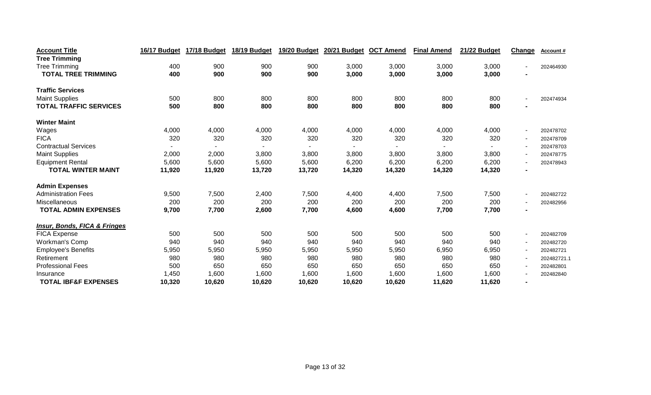| <b>Account Title</b>                    | 16/17 Budget | 17/18 Budget | 18/19 Budget | 19/20 Budget | <b>20/21 Budget</b> | <b>OCT Amend</b> | <b>Final Amend</b> | 21/22 Budget | Change                   | Account#    |
|-----------------------------------------|--------------|--------------|--------------|--------------|---------------------|------------------|--------------------|--------------|--------------------------|-------------|
| <b>Tree Trimming</b>                    |              |              |              |              |                     |                  |                    |              |                          |             |
| <b>Tree Trimming</b>                    | 400          | 900          | 900          | 900          | 3,000               | 3,000            | 3,000              | 3,000        | $\blacksquare$           | 202464930   |
| <b>TOTAL TREE TRIMMING</b>              | 400          | 900          | 900          | 900          | 3,000               | 3,000            | 3,000              | 3,000        | $\blacksquare$           |             |
| <b>Traffic Services</b>                 |              |              |              |              |                     |                  |                    |              |                          |             |
| <b>Maint Supplies</b>                   | 500          | 800          | 800          | 800          | 800                 | 800              | 800                | 800          | $\blacksquare$           | 202474934   |
| <b>TOTAL TRAFFIC SERVICES</b>           | 500          | 800          | 800          | 800          | 800                 | 800              | 800                | 800          | $\blacksquare$           |             |
| <b>Winter Maint</b>                     |              |              |              |              |                     |                  |                    |              |                          |             |
| Wages                                   | 4,000        | 4,000        | 4,000        | 4,000        | 4,000               | 4,000            | 4,000              | 4,000        | $\blacksquare$           | 202478702   |
| <b>FICA</b>                             | 320          | 320          | 320          | 320          | 320                 | 320              | 320                | 320          | $\overline{\phantom{a}}$ | 202478709   |
| <b>Contractual Services</b>             |              |              |              |              |                     |                  |                    |              | $\overline{\phantom{a}}$ | 202478703   |
| <b>Maint Supplies</b>                   | 2,000        | 2,000        | 3,800        | 3,800        | 3,800               | 3,800            | 3,800              | 3,800        | $\blacksquare$           | 202478775   |
| <b>Equipment Rental</b>                 | 5,600        | 5,600        | 5,600        | 5,600        | 6,200               | 6,200            | 6,200              | 6,200        | $\overline{\phantom{a}}$ | 202478943   |
| <b>TOTAL WINTER MAINT</b>               | 11,920       | 11,920       | 13,720       | 13,720       | 14,320              | 14,320           | 14,320             | 14,320       | $\blacksquare$           |             |
| <b>Admin Expenses</b>                   |              |              |              |              |                     |                  |                    |              |                          |             |
| <b>Administration Fees</b>              | 9,500        | 7,500        | 2,400        | 7,500        | 4,400               | 4,400            | 7,500              | 7,500        | $\overline{\phantom{a}}$ | 202482722   |
| Miscellaneous                           | 200          | 200          | 200          | 200          | 200                 | 200              | 200                | 200          | $\overline{\phantom{a}}$ | 202482956   |
| <b>TOTAL ADMIN EXPENSES</b>             | 9,700        | 7,700        | 2,600        | 7,700        | 4,600               | 4,600            | 7,700              | 7,700        | $\blacksquare$           |             |
| <b>Insur, Bonds, FICA &amp; Fringes</b> |              |              |              |              |                     |                  |                    |              |                          |             |
| <b>FICA Expense</b>                     | 500          | 500          | 500          | 500          | 500                 | 500              | 500                | 500          | $\sim$                   | 202482709   |
| Workman's Comp                          | 940          | 940          | 940          | 940          | 940                 | 940              | 940                | 940          | $\overline{\phantom{a}}$ | 202482720   |
| <b>Employee's Benefits</b>              | 5,950        | 5,950        | 5,950        | 5,950        | 5,950               | 5,950            | 6,950              | 6,950        | $\sim$                   | 202482721   |
| Retirement                              | 980          | 980          | 980          | 980          | 980                 | 980              | 980                | 980          | $\overline{\phantom{a}}$ | 202482721.1 |
| <b>Professional Fees</b>                | 500          | 650          | 650          | 650          | 650                 | 650              | 650                | 650          | $\overline{\phantom{a}}$ | 202482801   |
| Insurance                               | 1,450        | 1,600        | 1,600        | 1,600        | 1,600               | 1,600            | 1,600              | 1,600        | $\overline{\phantom{a}}$ | 202482840   |
| <b>TOTAL IBF&amp;F EXPENSES</b>         | 10,320       | 10,620       | 10,620       | 10,620       | 10,620              | 10,620           | 11,620             | 11,620       | $\blacksquare$           |             |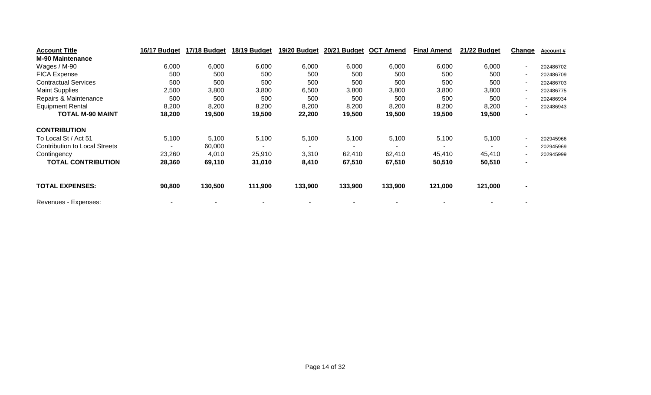| <b>Account Title</b>                 | 16/17 Budget | 17/18 Budget | 18/19 Budget | 19/20 Budget | 20/21 Budget | <b>OCT Amend</b> | <b>Final Amend</b> | 21/22 Budget | Change | Account#  |
|--------------------------------------|--------------|--------------|--------------|--------------|--------------|------------------|--------------------|--------------|--------|-----------|
| <b>M-90 Maintenance</b>              |              |              |              |              |              |                  |                    |              |        |           |
| Wages / M-90                         | 6,000        | 6,000        | 6,000        | 6,000        | 6,000        | 6,000            | 6,000              | 6,000        |        | 202486702 |
| <b>FICA Expense</b>                  | 500          | 500          | 500          | 500          | 500          | 500              | 500                | 500          | $\sim$ | 202486709 |
| <b>Contractual Services</b>          | 500          | 500          | 500          | 500          | 500          | 500              | 500                | 500          |        | 202486703 |
| <b>Maint Supplies</b>                | 2,500        | 3,800        | 3,800        | 6,500        | 3,800        | 3,800            | 3,800              | 3,800        |        | 202486775 |
| Repairs & Maintenance                | 500          | 500          | 500          | 500          | 500          | 500              | 500                | 500          |        | 202486934 |
| <b>Equipment Rental</b>              | 8,200        | 8,200        | 8,200        | 8,200        | 8,200        | 8,200            | 8,200              | 8,200        | н.     | 202486943 |
| <b>TOTAL M-90 MAINT</b>              | 18,200       | 19,500       | 19,500       | 22,200       | 19,500       | 19,500           | 19,500             | 19,500       |        |           |
| <b>CONTRIBUTION</b>                  |              |              |              |              |              |                  |                    |              |        |           |
| To Local St / Act 51                 | 5,100        | 5,100        | 5,100        | 5,100        | 5,100        | 5,100            | 5,100              | 5,100        |        | 202945966 |
| <b>Contribution to Local Streets</b> |              | 60,000       |              |              |              |                  |                    |              |        | 202945969 |
| Contingency                          | 23,260       | 4,010        | 25,910       | 3,310        | 62,410       | 62,410           | 45,410             | 45,410       |        | 202945999 |
| <b>TOTAL CONTRIBUTION</b>            | 28,360       | 69,110       | 31,010       | 8,410        | 67,510       | 67,510           | 50,510             | 50,510       |        |           |
| <b>TOTAL EXPENSES:</b>               | 90,800       | 130,500      | 111,900      | 133,900      | 133,900      | 133,900          | 121,000            | 121,000      |        |           |
| Revenues - Expenses:                 |              |              |              |              |              |                  |                    |              |        |           |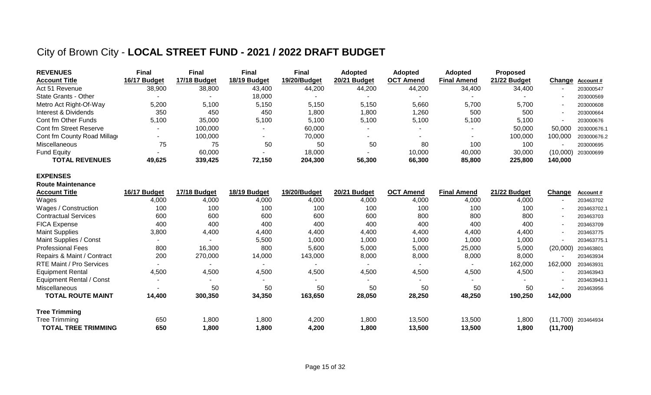## City of Brown City - **LOCAL STREET FUND - 2021 / 2022 DRAFT BUDGET**

| <b>REVENUES</b>             | Final        | Final        | <b>Final</b> | <b>Final</b> | <b>Adopted</b> | <b>Adopted</b>   | <b>Adopted</b>     | <b>Proposed</b> |          |                  |
|-----------------------------|--------------|--------------|--------------|--------------|----------------|------------------|--------------------|-----------------|----------|------------------|
| <b>Account Title</b>        | 16/17 Budget | 17/18 Budget | 18/19 Budget | 19/20/Budget | 20/21 Budget   | <b>OCT Amend</b> | <b>Final Amend</b> | 21/22 Budget    |          | Change Account # |
| Act 51 Revenue              | 38,900       | 38,800       | 43,400       | 44,200       | 44,200         | 44,200           | 34,400             | 34,400          |          | 203000547        |
| State Grants - Other        |              |              | 18.000       |              |                |                  |                    |                 |          | 203000569        |
| Metro Act Right-Of-Way      | 5,200        | 5,100        | 5,150        | 5,150        | 5,150          | 5,660            | 5,700              | 5,700           |          | 203000608        |
| Interest & Dividends        | 350          | 450          | 450          | 1,800        | 1,800          | 1,260            | 500                | 500             |          | 203000664        |
| Cont fm Other Funds         | 5,100        | 35,000       | 5,100        | 5,100        | 5,100          | 5,100            | 5,100              | 5,100           |          | 203000676        |
| Cont fm Street Reserve      |              | 100,000      |              | 60,000       |                |                  |                    | 50,000          | 50,000   | 203000676.1      |
| Cont fm County Road Millage |              | 100,000      |              | 70,000       |                |                  |                    | 100,000         | 100.000  | 203000676.2      |
| Miscellaneous               | 75           | 75           | 50           | 50           | 50             | 80               | 100                | 100             |          | 203000695        |
| <b>Fund Equity</b>          |              | 60,000       |              | 18,000       |                | 10,000           | 40,000             | 30,000          | (10,000) | 203000699        |
| <b>TOTAL REVENUES</b>       | 49,625       | 339,425      | 72,150       | 204,300      | 56,300         | 66,300           | 85,800             | 225,800         | 140,000  |                  |

#### **EXPENSES**

| <b>Route Maintenance</b>        |                          |              |              |              |              |                  |                    |              |          |                      |
|---------------------------------|--------------------------|--------------|--------------|--------------|--------------|------------------|--------------------|--------------|----------|----------------------|
| <b>Account Title</b>            | 16/17 Budget             | 17/18 Budget | 18/19 Budget | 19/20/Budget | 20/21 Budget | <b>OCT Amend</b> | <b>Final Amend</b> | 21/22 Budget | Change   | Account #            |
| Wages                           | 4,000                    | 4,000        | 4,000        | 4,000        | 4,000        | 4,000            | 4,000              | 4,000        |          | 203463702            |
| Wages / Construction            | 100                      | 100          | 100          | 100          | 100          | 100              | 100                | 100          |          | 203463702.1          |
| <b>Contractual Services</b>     | 600                      | 600          | 600          | 600          | 600          | 800              | 800                | 800          |          | 203463703            |
| <b>FICA Expense</b>             | 400                      | 400          | 400          | 400          | 400          | 400              | 400                | 400          |          | 203463709            |
| <b>Maint Supplies</b>           | 3,800                    | 4,400        | 4,400        | 4,400        | 4,400        | 4,400            | 4,400              | 4,400        |          | 203463775            |
| Maint Supplies / Const          | $\overline{\phantom{0}}$ |              | 5,500        | 1,000        | 1,000        | 1,000            | 1,000              | 1,000        |          | 203463775.1          |
| <b>Professional Fees</b>        | 800                      | 16,300       | 800          | 5,600        | 5,000        | 5,000            | 25,000             | 5,000        | (20,000) | 203463801            |
| Repairs & Maint / Contract      | 200                      | 270,000      | 14,000       | 143,000      | 8,000        | 8,000            | 8,000              | 8,000        |          | 203463934            |
| <b>RTE Maint / Pro Services</b> | $\overline{\phantom{a}}$ |              |              |              |              |                  |                    | 162,000      | 162,000  | 203463931            |
| <b>Equipment Rental</b>         | 4,500                    | 4,500        | 4,500        | 4,500        | 4,500        | 4,500            | 4,500              | 4,500        |          | 203463943            |
| Equipment Rental / Const        | $\overline{\phantom{a}}$ |              |              |              |              |                  |                    |              |          | 203463943.1          |
| <b>Miscellaneous</b>            | $\overline{\phantom{0}}$ | 50           | 50           | 50           | 50           | 50               | 50                 | 50           |          | 203463956            |
| <b>TOTAL ROUTE MAINT</b>        | 14,400                   | 300,350      | 34,350       | 163,650      | 28,050       | 28,250           | 48,250             | 190,250      | 142,000  |                      |
| <b>Tree Trimming</b>            |                          |              |              |              |              |                  |                    |              |          |                      |
| Tree Trimming                   | 650                      | 1,800        | 1,800        | 4,200        | 1,800        | 13,500           | 13,500             | 1,800        |          | $(11,700)$ 203464934 |
| <b>TOTAL TREE TRIMMING</b>      | 650                      | 1,800        | 1,800        | 4,200        | 1,800        | 13,500           | 13,500             | 1,800        | (11,700) |                      |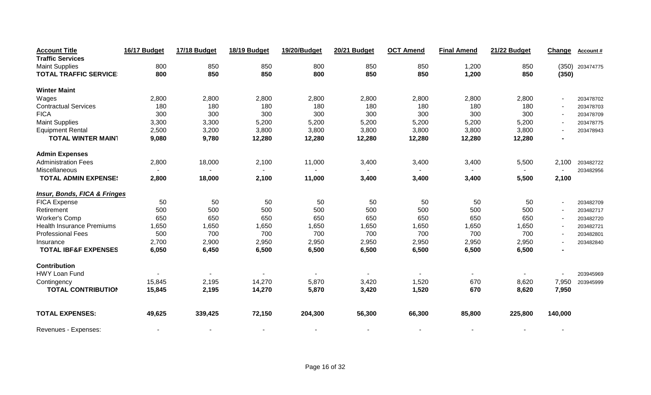| <b>Account Title</b>                    | 16/17 Budget | 17/18 Budget             | 18/19 Budget | 19/20/Budget | <b>20/21 Budget</b> | <b>OCT Amend</b> | <b>Final Amend</b> | 21/22 Budget | Change         | Account#        |
|-----------------------------------------|--------------|--------------------------|--------------|--------------|---------------------|------------------|--------------------|--------------|----------------|-----------------|
| <b>Traffic Services</b>                 |              |                          |              |              |                     |                  |                    |              |                |                 |
| <b>Maint Supplies</b>                   | 800          | 850                      | 850          | 800          | 850                 | 850              | 1,200              | 850          |                | (350) 203474775 |
| <b>TOTAL TRAFFIC SERVICE</b>            | 800          | 850                      | 850          | 800          | 850                 | 850              | 1,200              | 850          | (350)          |                 |
| <b>Winter Maint</b>                     |              |                          |              |              |                     |                  |                    |              |                |                 |
| Wages                                   | 2,800        | 2,800                    | 2,800        | 2,800        | 2,800               | 2,800            | 2,800              | 2,800        | $\blacksquare$ | 203478702       |
| <b>Contractual Services</b>             | 180          | 180                      | 180          | 180          | 180                 | 180              | 180                | 180          |                | 203478703       |
| <b>FICA</b>                             | 300          | 300                      | 300          | 300          | 300                 | 300              | 300                | 300          |                | 203478709       |
| <b>Maint Supplies</b>                   | 3,300        | 3,300                    | 5,200        | 5,200        | 5,200               | 5,200            | 5,200              | 5,200        | $\blacksquare$ | 203478775       |
| <b>Equipment Rental</b>                 | 2,500        | 3,200                    | 3,800        | 3,800        | 3,800               | 3,800            | 3,800              | 3,800        |                | 203478943       |
| <b>TOTAL WINTER MAIN1</b>               | 9,080        | 9,780                    | 12,280       | 12,280       | 12,280              | 12,280           | 12,280             | 12,280       |                |                 |
| <b>Admin Expenses</b>                   |              |                          |              |              |                     |                  |                    |              |                |                 |
| <b>Administration Fees</b>              | 2,800        | 18,000                   | 2,100        | 11,000       | 3,400               | 3,400            | 3,400              | 5,500        | 2,100          | 203482722       |
| Miscellaneous                           |              |                          |              |              |                     |                  |                    |              |                | 203482956       |
| <b>TOTAL ADMIN EXPENSE:</b>             | 2,800        | 18,000                   | 2,100        | 11,000       | 3,400               | 3,400            | 3,400              | 5,500        | 2,100          |                 |
| <b>Insur, Bonds, FICA &amp; Fringes</b> |              |                          |              |              |                     |                  |                    |              |                |                 |
| <b>FICA Expense</b>                     | 50           | 50                       | 50           | 50           | 50                  | 50               | 50                 | 50           |                | 203482709       |
| Retirement                              | 500          | 500                      | 500          | 500          | 500                 | 500              | 500                | 500          |                | 203482717       |
| <b>Worker's Comp</b>                    | 650          | 650                      | 650          | 650          | 650                 | 650              | 650                | 650          |                | 203482720       |
| <b>Health Insurance Premiums</b>        | 1,650        | 1,650                    | 1,650        | 1,650        | 1,650               | 1,650            | 1,650              | 1,650        | $\blacksquare$ | 203482721       |
| <b>Professional Fees</b>                | 500          | 700                      | 700          | 700          | 700                 | 700              | 700                | 700          |                | 203482801       |
| Insurance                               | 2,700        | 2,900                    | 2,950        | 2,950        | 2,950               | 2,950            | 2,950              | 2,950        |                | 203482840       |
| <b>TOTAL IBF&amp;F EXPENSES</b>         | 6,050        | 6,450                    | 6,500        | 6,500        | 6,500               | 6,500            | 6,500              | 6,500        |                |                 |
| Contribution                            |              |                          |              |              |                     |                  |                    |              |                |                 |
| HWY Loan Fund                           |              |                          |              |              |                     |                  |                    |              |                | 203945969       |
| Contingency                             | 15,845       | 2,195                    | 14,270       | 5,870        | 3,420               | 1,520            | 670                | 8,620        | 7,950          | 203945999       |
| <b>TOTAL CONTRIBUTION</b>               | 15,845       | 2,195                    | 14,270       | 5,870        | 3,420               | 1,520            | 670                | 8,620        | 7,950          |                 |
| <b>TOTAL EXPENSES:</b>                  | 49,625       | 339,425                  | 72,150       | 204,300      | 56,300              | 66,300           | 85,800             | 225,800      | 140,000        |                 |
| Revenues - Expenses:                    |              | $\overline{\phantom{a}}$ |              |              |                     |                  |                    |              |                |                 |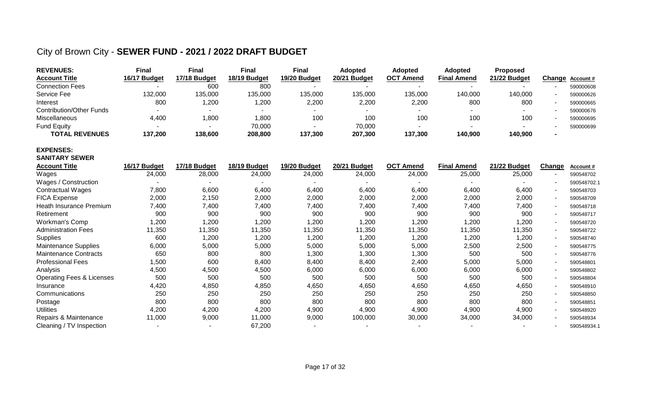### City of Brown City - **SEWER FUND - 2021 / 2022 DRAFT BUDGET**

| <b>REVENUES:</b>                | Final        | <b>Final</b> | <b>Final</b> | Final        | <b>Adopted</b> | <b>Adopted</b>   | <b>Adopted</b>     | <b>Proposed</b> |                  |
|---------------------------------|--------------|--------------|--------------|--------------|----------------|------------------|--------------------|-----------------|------------------|
| <b>Account Title</b>            | 16/17 Budget | 17/18 Budget | 18/19 Budget | 19/20 Budget | 20/21 Budget   | <b>OCT Amend</b> | <b>Final Amend</b> | 21/22 Budget    | Change Account # |
| <b>Connection Fees</b>          |              | 600          | 800          |              |                |                  |                    |                 | 590000608        |
| Service Fee                     | 132,000      | 135,000      | 135,000      | 135,000      | 135,000        | 135,000          | 140,000            | 140,000         | 590000626        |
| Interest                        | 800          | 1,200        | ,200         | 2,200        | 2,200          | 2,200            | 800                | 800             | 590000665        |
| <b>Contribution/Other Funds</b> |              |              |              |              |                |                  |                    |                 | 590000676        |
| Miscellaneous                   | 4,400        | ,800         | 1,800        | 100          | 100            | 100              | 100                | 100             | 590000695        |
| <b>Fund Equity</b>              |              |              | 70,000       |              | 70,000         |                  |                    |                 | 590000699        |
| <b>TOTAL REVENUES</b>           | 137,200      | 138,600      | 208,800      | 137,300      | 207,300        | 137,300          | 140,900            | 140,900         |                  |

#### **EXPENSES: SANITARY SEWER**

| <b>Account Title</b>                 | 16/17 Budget | 17/18 Budget | 18/19 Budget | 19/20 Budget | <b>20/21 Budget</b> | <b>OCT Amend</b> | <b>Final Amend</b> | 21/22 Budget | Change | Account#    |
|--------------------------------------|--------------|--------------|--------------|--------------|---------------------|------------------|--------------------|--------------|--------|-------------|
| Wages                                | 24,000       | 28,000       | 24,000       | 24,000       | 24,000              | 24,000           | 25,000             | 25,000       |        | 590548702   |
| Wages / Construction                 |              |              |              |              |                     |                  |                    |              |        | 590548702.1 |
| <b>Contractual Wages</b>             | 7,800        | 6,600        | 6,400        | 6,400        | 6,400               | 6,400            | 6,400              | 6,400        |        | 590548703   |
| <b>FICA Expense</b>                  | 2,000        | 2,150        | 2,000        | 2,000        | 2,000               | 2,000            | 2,000              | 2,000        |        | 590548709   |
| Heath Insurance Premium              | 7,400        | 7,400        | 7,400        | 7,400        | 7,400               | 7,400            | 7,400              | 7,400        |        | 590548718   |
| Retirement                           | 900          | 900          | 900          | 900          | 900                 | 900              | 900                | 900          |        | 590548717   |
| Workman's Comp                       | 1,200        | ,200         | 1,200        | 1,200        | 1,200               | 1,200            | 1,200              | 1,200        |        | 590548720   |
| <b>Administration Fees</b>           | 11,350       | 11,350       | 11,350       | 11,350       | 11,350              | 11,350           | 11,350             | 11,350       |        | 590548722   |
| <b>Supplies</b>                      | 600          | ,200         | 1,200        | 1,200        | 1,200               | 1,200            | 1,200              | 1,200        |        | 590548740   |
| Maintenance Supplies                 | 6,000        | 5,000        | 5,000        | 5,000        | 5,000               | 5,000            | 2,500              | 2,500        |        | 590548775   |
| <b>Maintenance Contracts</b>         | 650          | 800          | 800          | 1,300        | 1,300               | 1,300            | 500                | 500          |        | 590548776   |
| <b>Professional Fees</b>             | 1,500        | 600          | 8,400        | 8,400        | 8,400               | 2,400            | 5,000              | 5,000        |        | 590548801   |
| Analysis                             | 4,500        | 4,500        | 4,500        | 6,000        | 6,000               | 6,000            | 6,000              | 6,000        |        | 590548802   |
| <b>Operating Fees &amp; Licenses</b> | 500          | 500          | 500          | 500          | 500                 | 500              | 500                | 500          |        | 590548804   |
| Insurance                            | 4,420        | 4,850        | 4,850        | 4,650        | 4,650               | 4,650            | 4,650              | 4,650        |        | 590548910   |
| Communications                       | 250          | 250          | 250          | 250          | 250                 | 250              | 250                | 250          |        | 590548850   |
| Postage                              | 800          | 800          | 800          | 800          | 800                 | 800              | 800                | 800          |        | 590548851   |
| <b>Utilities</b>                     | 4,200        | 4,200        | 4,200        | 4,900        | 4,900               | 4,900            | 4,900              | 4,900        |        | 590548920   |
| Repairs & Maintenance                | 11,000       | 9,000        | 11,000       | 9,000        | 100,000             | 30,000           | 34,000             | 34,000       |        | 590548934   |
| Cleaning / TV Inspection             |              |              | 67,200       |              |                     |                  |                    |              |        | 590548934.1 |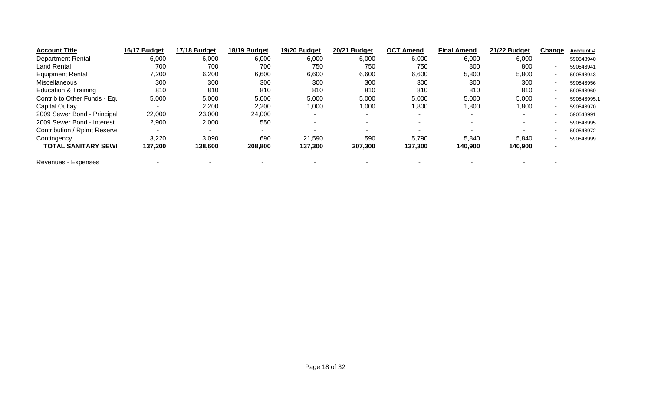| <b>Account Title</b>            | 16/17 Budget | 17/18 Budget | 18/19 Budget | 19/20 Budget | 20/21 Budget | <b>OCT Amend</b> | <b>Final Amend</b> | 21/22 Budget | Change | Account#    |
|---------------------------------|--------------|--------------|--------------|--------------|--------------|------------------|--------------------|--------------|--------|-------------|
| <b>Department Rental</b>        | 6,000        | 6,000        | 6,000        | 6,000        | 6,000        | 6,000            | 6,000              | 6,000        |        | 590548940   |
| <b>Land Rental</b>              | 700          | 700          | 700          | 750          | 750          | 750              | 800                | 800          |        | 590548941   |
| <b>Equipment Rental</b>         | 7,200        | 6,200        | 6,600        | 6,600        | 6,600        | 6,600            | 5,800              | 5,800        |        | 590548943   |
| <b>Miscellaneous</b>            | 300          | 300          | 300          | 300          | 300          | 300              | 300                | 300          |        | 590548956   |
| <b>Education &amp; Training</b> | 810          | 810          | 810          | 810          | 810          | 810              | 810                | 810          |        | 590548960   |
| Contrib to Other Funds - Equ    | 5,000        | 5,000        | 5,000        | 5,000        | 5,000        | 5,000            | 5,000              | 5,000        |        | 590548995.1 |
| Capital Outlay                  |              | 2,200        | 2,200        | 1,000        | 1,000        | 800, ا           | 1,800              | 1,800        |        | 590548970   |
| 2009 Sewer Bond - Principal     | 22,000       | 23,000       | 24,000       |              |              |                  |                    |              |        | 590548991   |
| 2009 Sewer Bond - Interest      | 2,900        | 2,000        | 550          |              |              |                  |                    |              |        | 590548995   |
| Contribution / Rplmt Reserve    |              |              | $\sim$       |              |              |                  |                    |              |        | 590548972   |
| Contingency                     | 3,220        | 3,090        | 690          | 21,590       | 590          | 5,790            | 5,840              | 5,840        |        | 590548999   |
| <b>TOTAL SANITARY SEWI</b>      | 137,200      | 138,600      | 208,800      | 137,300      | 207,300      | 137,300          | 140,900            | 140,900      |        |             |
| Revenues - Expenses             |              |              |              |              |              |                  |                    |              |        |             |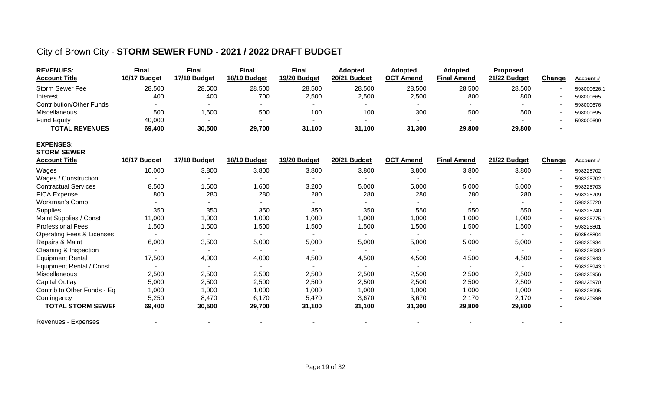### City of Brown City - **STORM SEWER FUND - 2021 / 2022 DRAFT BUDGET**

| <b>REVENUES:</b><br><b>Account Title</b> | <b>Final</b><br>16/17 Budget | <b>Final</b><br>17/18 Budget | <b>Final</b><br>18/19 Budget | <b>Final</b><br>19/20 Budget | Adopted<br>20/21 Budget | <b>Adopted</b><br><b>OCT Amend</b> | Adopted<br><b>Final Amend</b> | Proposed<br>21/22 Budget | Change | Account#    |
|------------------------------------------|------------------------------|------------------------------|------------------------------|------------------------------|-------------------------|------------------------------------|-------------------------------|--------------------------|--------|-------------|
| <b>Storm Sewer Fee</b>                   | 28,500                       | 28,500                       | 28,500                       | 28,500                       | 28,500                  | 28,500                             | 28,500                        | 28,500                   |        | 598000626.1 |
| Interest                                 | 400                          | 400                          | 700                          | 2,500                        | 2,500                   | 2,500                              | 800                           | 800                      |        | 598000665   |
| <b>Contribution/Other Funds</b>          |                              |                              |                              |                              |                         |                                    |                               |                          |        | 598000676   |
| Miscellaneous                            | 500                          | 1,600                        | 500                          | 100                          | 100                     | 300                                | 500                           | 500                      |        | 598000695   |
| <b>Fund Equity</b>                       | 40,000                       |                              | ۰.                           |                              |                         |                                    |                               |                          |        | 598000699   |
| <b>TOTAL REVENUES</b>                    | 69,400                       | 30,500                       | 29,700                       | 31,100                       | 31,100                  | 31,300                             | 29,800                        | 29,800                   |        |             |
| <b>EXPENSES:</b><br><b>STORM SEWER</b>   | 16/17 Budget                 | 17/18 Budget                 | 18/19 Budget                 | 19/20 Budget                 | 20/21 Budget            | <b>OCT Amend</b>                   |                               | 21/22 Budget             |        |             |
| <b>Account Title</b>                     |                              |                              |                              |                              |                         |                                    | <b>Final Amend</b>            |                          | Change | Account#    |
| Wages                                    | 10,000                       | 3,800                        | 3,800                        | 3,800                        | 3,800                   | 3,800                              | 3,800                         | 3,800                    |        | 598225702   |
| Wages / Construction                     |                              |                              |                              |                              |                         |                                    |                               |                          |        | 598225702.1 |
| <b>Contractual Services</b>              | 8,500                        | 1,600                        | 1,600                        | 3,200                        | 5,000                   | 5,000                              | 5,000                         | 5,000                    |        | 598225703   |
| <b>FICA Expense</b>                      | 800                          | 280                          | 280                          | 280                          | 280                     | 280                                | 280                           | 280                      |        | 598225709   |
| Workman's Comp                           |                              |                              |                              |                              |                         |                                    |                               |                          |        | 598225720   |
| Supplies                                 | 350                          | 350                          | 350                          | 350                          | 350                     | 550                                | 550                           | 550                      |        | 598225740   |
| Maint Supplies / Const                   | 11,000                       | 1,000                        | 1,000                        | 1,000                        | 1,000                   | 1,000                              | 1,000                         | 1,000                    |        | 598225775.1 |
| <b>Professional Fees</b>                 | 1,500                        | 1,500                        | 1,500                        | 1,500                        | 1,500                   | 1,500                              | 1,500                         | 1,500                    |        | 598225801   |
| <b>Operating Fees &amp; Licenses</b>     |                              |                              |                              |                              |                         |                                    | $\overline{a}$                |                          |        | 598548804   |
| Repairs & Maint                          | 6,000                        | 3,500                        | 5,000                        | 5,000                        | 5,000                   | 5,000                              | 5,000                         | 5,000                    |        | 598225934   |
| Cleaning & Inspection                    |                              |                              |                              |                              |                         |                                    |                               |                          |        | 598225930.2 |
| <b>Equipment Rental</b>                  | 17,500                       | 4,000                        | 4,000                        | 4,500                        | 4,500                   | 4,500                              | 4,500                         | 4,500                    |        | 598225943   |
| Equipment Rental / Const                 |                              |                              | $\sim$                       |                              | $\blacksquare$          |                                    | $\sim$                        |                          |        | 598225943.1 |
| Miscellaneous                            | 2,500                        | 2,500                        | 2,500                        | 2,500                        | 2,500                   | 2,500                              | 2,500                         | 2,500                    |        | 598225956   |
| <b>Capital Outlay</b>                    | 5,000                        | 2,500                        | 2,500                        | 2,500                        | 2,500                   | 2,500                              | 2,500                         | 2,500                    |        | 598225970   |
| Contrib to Other Funds - Eq              | 1,000                        | 1,000                        | 1,000                        | 1,000                        | 1,000                   | 1,000                              | 1,000                         | 1,000                    |        | 598225995   |
| Contingency                              | 5,250                        | 8,470                        | 6,170                        | 5,470                        | 3,670                   | 3,670                              | 2,170                         | 2,170                    |        | 598225999   |
| <b>TOTAL STORM SEWEF</b>                 | 69,400                       | 30,500                       | 29,700                       | 31,100                       | 31,100                  | 31,300                             | 29,800                        | 29,800                   |        |             |
| Revenues - Expenses                      |                              |                              |                              |                              |                         |                                    |                               |                          |        |             |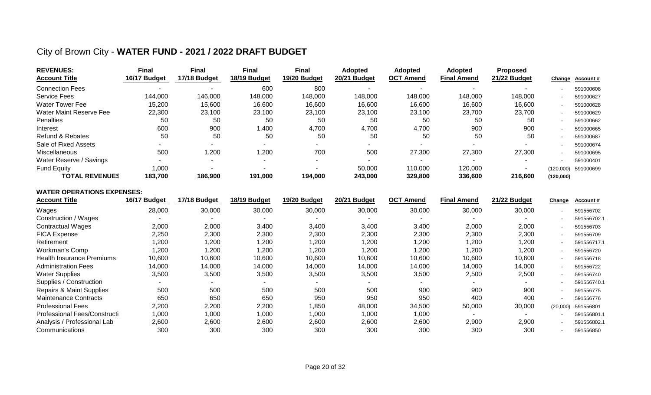### City of Brown City - **WATER FUND - 2021 / 2022 DRAFT BUDGET**

| <b>REVENUES:</b><br><b>Account Title</b> | <b>Final</b><br>16/17 Budget | Final<br>17/18 Budget | <b>Final</b><br>18/19 Budget | <b>Final</b><br>19/20 Budget | <b>Adopted</b><br>20/21 Budget | <b>Adopted</b><br><b>OCT Amend</b> | <b>Adopted</b><br><b>Final Amend</b> | <b>Proposed</b><br>21/22 Budget |           | Change Account# |
|------------------------------------------|------------------------------|-----------------------|------------------------------|------------------------------|--------------------------------|------------------------------------|--------------------------------------|---------------------------------|-----------|-----------------|
| <b>Connection Fees</b>                   | -                            |                       | 600                          | 800                          |                                |                                    |                                      |                                 |           | 591000608       |
| <b>Service Fees</b>                      | 144,000                      | 146,000               | 148,000                      | 148,000                      | 148,000                        | 148,000                            | 148,000                              | 148,000                         |           | 591000627       |
| Water Tower Fee                          | 15,200                       | 15,600                | 16,600                       | 16,600                       | 16,600                         | 16,600                             | 16,600                               | 16,600                          |           | 591000628       |
| Water Maint Reserve Fee                  | 22,300                       | 23,100                | 23.100                       | 23,100                       | 23,100                         | 23,100                             | 23,700                               | 23,700                          |           | 591000629       |
| Penalties                                | 50                           | 50                    | 50                           | 50                           | 50                             | 50                                 | 50                                   | 50                              |           | 591000662       |
| Interest                                 | 600                          | 900                   | 1,400                        | 4,700                        | 4,700                          | 4,700                              | 900                                  | 900                             |           | 591000665       |
| <b>Refund &amp; Rebates</b>              | 50                           | 50                    | 50                           | 50                           | 50                             | 50                                 | 50                                   | 50                              |           | 591000687       |
| Sale of Fixed Assets                     |                              |                       |                              |                              | $\sim$                         |                                    |                                      |                                 |           | 591000674       |
| Miscellaneous                            | 500                          | 1,200                 | 1,200                        | 700                          | 500                            | 27,300                             | 27,300                               | 27,300                          |           | 591000695       |
| Water Reserve / Savings                  |                              |                       |                              |                              |                                |                                    |                                      |                                 |           | 591000401       |
| <b>Fund Equity</b>                       | 000,1                        |                       |                              |                              | 50,000                         | 110,000                            | 120,000                              |                                 | (120,000) | 591000699       |
| <b>TOTAL REVENUES</b>                    | 183.700                      | 186,900               | 191,000                      | 194,000                      | 243,000                        | 329,800                            | 336,600                              | 216,600                         | (120,000) |                 |

#### **WATER OPERATIONS EXPENSES:**

| <b>Account Title</b>                | 16/17 Budget | 17/18 Budget | 18/19 Budget | 19/20 Budget | 20/21 Budget | <b>OCT Amend</b> | <b>Final Amend</b> | 21/22 Budget             | Change   | Account#    |
|-------------------------------------|--------------|--------------|--------------|--------------|--------------|------------------|--------------------|--------------------------|----------|-------------|
| Wages                               | 28,000       | 30,000       | 30,000       | 30,000       | 30,000       | 30,000           | 30,000             | 30,000                   |          | 591556702   |
| Construction / Wages                |              |              |              |              |              |                  |                    | $\overline{\phantom{0}}$ |          | 591556702.1 |
| <b>Contractual Wages</b>            | 2,000        | 2,000        | 3,400        | 3,400        | 3,400        | 3,400            | 2,000              | 2,000                    |          | 591556703   |
| <b>FICA Expense</b>                 | 2,250        | 2,300        | 2,300        | 2,300        | 2,300        | 2,300            | 2,300              | 2,300                    |          | 591556709   |
| Retirement                          | 1,200        | 200, ا       | 1,200        | ,200         | 1,200        | 1,200            | 1,200              | 1,200                    |          | 591556717.1 |
| Workman's Comp                      | 1,200        | 200, ا       | ,200         | ,200         | 1,200        | 1,200            | 1,200              | ,200                     |          | 591556720   |
| <b>Health Insurance Premiums</b>    | 10,600       | 10,600       | 10,600       | 10,600       | 10,600       | 10,600           | 10,600             | 10,600                   |          | 591556718   |
| <b>Administration Fees</b>          | 14,000       | 14,000       | 14,000       | 14,000       | 14,000       | 14,000           | 14,000             | 14,000                   |          | 591556722   |
| <b>Water Supplies</b>               | 3,500        | 3,500        | 3,500        | 3,500        | 3,500        | 3,500            | 2,500              | 2,500                    |          | 591556740   |
| Supplies / Construction             |              |              |              |              |              |                  |                    |                          |          | 591556740.1 |
| <b>Repairs &amp; Maint Supplies</b> | 500          | 500          | 500          | 500          | 500          | 900              | 900                | 900                      |          | 591556775   |
| <b>Maintenance Contracts</b>        | 650          | 650          | 650          | 950          | 950          | 950              | 400                | 400                      |          | 591556776   |
| <b>Professional Fees</b>            | 2,200        | 2,200        | 2,200        | ,850         | 48,000       | 34,500           | 50,000             | 30,000                   | (20,000) | 591556801   |
| Professional Fees/Constructi        | 1,000        | 1,000        | 1,000        | 1,000        | 1,000        | 1,000            |                    |                          |          | 591556801.1 |
| Analysis / Professional Lab         | 2,600        | 2,600        | 2,600        | 2,600        | 2,600        | 2,600            | 2,900              | 2,900                    |          | 591556802.1 |
| Communications                      | 300          | 300          | 300          | 300          | 300          | 300              | 300                | 300                      |          | 591556850   |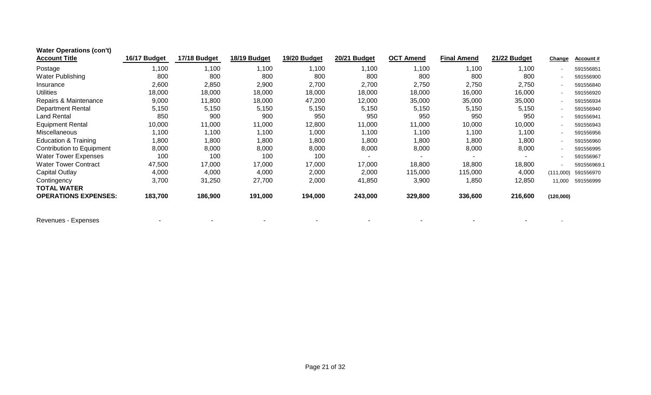| <b>Water Operations (con't)</b> |              |              |              |              |              |                  |                    |              |                |             |
|---------------------------------|--------------|--------------|--------------|--------------|--------------|------------------|--------------------|--------------|----------------|-------------|
| <b>Account Title</b>            | 16/17 Budget | 17/18 Budget | 18/19 Budget | 19/20 Budget | 20/21 Budget | <b>OCT Amend</b> | <b>Final Amend</b> | 21/22 Budget | <b>Change</b>  | Account#    |
| Postage                         | 1,100        | 1,100        | 1,100        | 1,100        | 1,100        | 1,100            | 1,100              | 1,100        |                | 591556851   |
| Water Publishing                | 800          | 800          | 800          | 800          | 800          | 800              | 800                | 800          |                | 591556900   |
| Insurance                       | 2,600        | 2,850        | 2,900        | 2,700        | 2,700        | 2,750            | 2,750              | 2,750        |                | 591556840   |
| <b>Utilities</b>                | 18,000       | 18,000       | 18,000       | 18,000       | 18,000       | 18,000           | 16,000             | 16,000       |                | 591556920   |
| Repairs & Maintenance           | 9,000        | 11,800       | 18,000       | 47,200       | 12,000       | 35,000           | 35,000             | 35,000       |                | 591556934   |
| <b>Department Rental</b>        | 5,150        | 5,150        | 5,150        | 5,150        | 5,150        | 5,150            | 5,150              | 5,150        | $\blacksquare$ | 591556940   |
| Land Rental                     | 850          | 900          | 900          | 950          | 950          | 950              | 950                | 950          | $\blacksquare$ | 591556941   |
| <b>Equipment Rental</b>         | 10,000       | 11,000       | 11,000       | 12,800       | 11,000       | 11,000           | 10,000             | 10,000       | $\sim$         | 591556943   |
| <b>Miscellaneous</b>            | 1,100        | 1,100        | 1,100        | 1,000        | 1,100        | 1,100            | 1,100              | 1,100        |                | 591556956   |
| <b>Education &amp; Training</b> | 1,800        | 1,800        | 1,800        | 1,800        | 1,800        | 1,800            | 1,800              | 1,800        | $\sim$         | 591556960   |
| Contribution to Equipment       | 8,000        | 8,000        | 8,000        | 8,000        | 8,000        | 8,000            | 8,000              | 8,000        | $\sim$         | 591556995   |
| <b>Water Tower Expenses</b>     | 100          | 100          | 100          | 100          |              |                  |                    |              |                | 591556967   |
| <b>Water Tower Contract</b>     | 47,500       | 17,000       | 17,000       | 17,000       | 17,000       | 18,800           | 18,800             | 18,800       |                | 591556969.1 |
| Capital Outlay                  | 4,000        | 4,000        | 4,000        | 2,000        | 2,000        | 115,000          | 115,000            | 4,000        | (111,000)      | 591556970   |
| Contingency                     | 3,700        | 31,250       | 27,700       | 2,000        | 41,850       | 3,900            | 1,850              | 12,850       | 11.000         | 591556999   |
| <b>TOTAL WATER</b>              |              |              |              |              |              |                  |                    |              |                |             |
| <b>OPERATIONS EXPENSES:</b>     | 183,700      | 186,900      | 191,000      | 194,000      | 243,000      | 329,800          | 336,600            | 216,600      | (120,000)      |             |

Revenues - Expenses - - - - - - - - -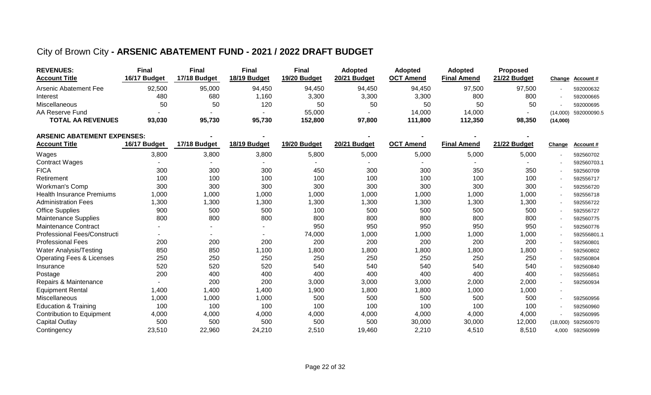### City of Brown City **- ARSENIC ABATEMENT FUND - 2021 / 2022 DRAFT BUDGET**

| <b>REVENUES:</b>         | Final        | Final        | Final        | <b>Final</b> | Adopted      | <b>Adopted</b> | <b>Adopted</b>     | <b>Proposed</b> |          |                      |
|--------------------------|--------------|--------------|--------------|--------------|--------------|----------------|--------------------|-----------------|----------|----------------------|
| <b>Account Title</b>     | 16/17 Budget | 17/18 Budget | 18/19 Budget | 19/20 Budget | 20/21 Budget | ОСТ<br>Amend   | <b>Final Amend</b> | 21/22 Budget    |          | Change Account#      |
| Arsenic Abatement Fee    | 92,500       | 95,000       | 94,450       | 94,450       | 94,450       | 94,450         | 97,500             | 97,500          |          | 592000632            |
| Interest                 | 480          | 680          | ,160         | 3,300        | 3,300        | 3,300          | 800                | 800             |          | 592000665            |
| Miscellaneous            | 50           | 50           | 120          | 50           | 50           | 50             | 50                 | 50              |          | 592000695            |
| AA Reserve Fund          |              |              |              | 55,000       |              | 14,000         | 14.000             |                 |          | (14,000) 592000090.5 |
| <b>TOTAL AA REVENUES</b> | 93,030       | 95,730       | 95,730       | 152,800      | 97,800       | 111,800        | 112,350            | 98,350          | (14,000) |                      |

| ARSENIC ABATEMENT EXPENSES:          |              |              |              |              |              |                  |                    |              |                |             |
|--------------------------------------|--------------|--------------|--------------|--------------|--------------|------------------|--------------------|--------------|----------------|-------------|
| <b>Account Title</b>                 | 16/17 Budget | 17/18 Budget | 18/19 Budget | 19/20 Budget | 20/21 Budget | <b>OCT Amend</b> | <b>Final Amend</b> | 21/22 Budget | Change         | Account#    |
| Wages                                | 3,800        | 3,800        | 3,800        | 5,800        | 5,000        | 5,000            | 5,000              | 5,000        |                | 592560702   |
| <b>Contract Wages</b>                |              |              |              |              |              |                  |                    |              |                | 592560703.1 |
| <b>FICA</b>                          | 300          | 300          | 300          | 450          | 300          | 300              | 350                | 350          |                | 592560709   |
| Retirement                           | 100          | 100          | 100          | 100          | 100          | 100              | 100                | 100          |                | 592556717   |
| Workman's Comp                       | 300          | 300          | 300          | 300          | 300          | 300              | 300                | 300          |                | 592556720   |
| <b>Health Insurance Premiums</b>     | 1,000        | 1,000        | 1,000        | 1,000        | 1,000        | 1,000            | 1,000              | 1,000        |                | 592556718   |
| <b>Administration Fees</b>           | ,300         | ,300         | ,300         | 1,300        | 1,300        | 1,300            | 1,300              | 1,300        |                | 592556722   |
| <b>Office Supplies</b>               | 900          | 500          | 500          | 100          | 500          | 500              | 500                | 500          | $\sim$         | 592556727   |
| <b>Maintenance Supplies</b>          | 800          | 800          | 800          | 800          | 800          | 800              | 800                | 800          |                | 592560775   |
| <b>Maintenance Contract</b>          |              | ۰.           | $\sim$       | 950          | 950          | 950              | 950                | 950          |                | 592560776   |
| Professional Fees/Constructi         |              | Ξ.           | $\sim$       | 74,000       | 1,000        | 1,000            | 1,000              | 1,000        |                | 592556801.1 |
| <b>Professional Fees</b>             | 200          | 200          | 200          | 200          | 200          | 200              | 200                | 200          |                | 592560801   |
| Water Analysis/Testing               | 850          | 850          | 1,100        | 1,800        | 1,800        | 1,800            | 1,800              | 1,800        |                | 592560802   |
| <b>Operating Fees &amp; Licenses</b> | 250          | 250          | 250          | 250          | 250          | 250              | 250                | 250          | $\sim$         | 592560804   |
| Insurance                            | 520          | 520          | 520          | 540          | 540          | 540              | 540                | 540          |                | 592560840   |
| Postage                              | 200          | 400          | 400          | 400          | 400          | 400              | 400                | 400          | $\sim$         | 592556851   |
| Repairs & Maintenance                |              | 200          | 200          | 3,000        | 3,000        | 3,000            | 2,000              | 2,000        | $\sim$         | 592560934   |
| <b>Equipment Rental</b>              | 1,400        | 1,400        | 1,400        | 1,900        | 1,800        | 1,800            | 1,000              | 1,000        | $\blacksquare$ |             |
| Miscellaneous                        | 1,000        | 1,000        | 1,000        | 500          | 500          | 500              | 500                | 500          |                | 592560956   |
| <b>Education &amp; Training</b>      | 100          | 100          | 100          | 100          | 100          | 100              | 100                | 100          |                | 592560960   |
| <b>Contribution to Equipment</b>     | 4,000        | 4,000        | 4,000        | 4,000        | 4,000        | 4,000            | 4,000              | 4,000        |                | 592560995   |
| <b>Capital Outlay</b>                | 500          | 500          | 500          | 500          | 500          | 30,000           | 30,000             | 12,000       | (18,000)       | 592560970   |
| Contingency                          | 23,510       | 22,960       | 24,210       | 2,510        | 19,460       | 2,210            | 4,510              | 8,510        | 4.000          | 592560999   |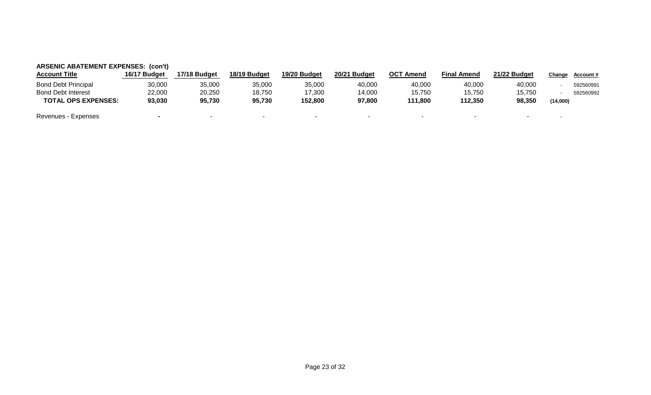| <b>Account Title</b>       | 16/17 Budget | 17/18 Budget | 18/19 Budget | 19/20 Budget | 20/21 Budget | OCT<br><sup>-</sup> Amend | <b>Final Amend</b> | 21/22 Budget | Change   | <b>Account #</b> |
|----------------------------|--------------|--------------|--------------|--------------|--------------|---------------------------|--------------------|--------------|----------|------------------|
| <b>Bond Debt Principal</b> | 30,000       | 35,000       | 35,000       | 35,000       | 40,000       | 40,000                    | 40,000             | 40,000       |          | 592560991        |
| <b>Bond Debt Interest</b>  | 22,000       | 20,250       | 18,750       | 17,300       | 14,000       | 15,750                    | 15,750             | 15.750       |          | 592560992        |
| <b>TOTAL OPS EXPENSES:</b> | 93,030       | 95,730       | 95,730       | 152.800      | 97,800       | 111.800                   | 112,350            | 98,350       | (14,000) |                  |
| Revenues - Expenses        |              |              |              |              |              |                           |                    |              |          |                  |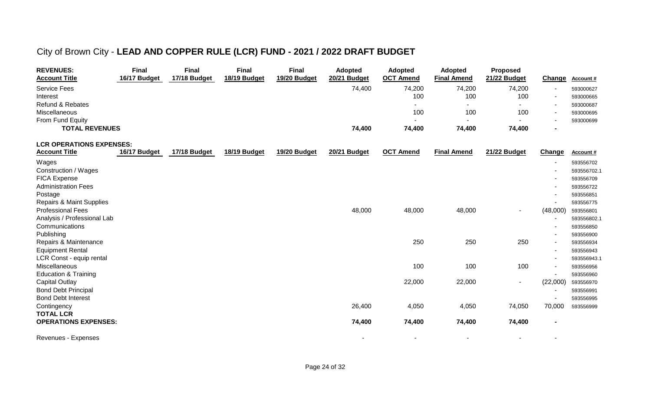# City of Brown City - **LEAD AND COPPER RULE (LCR) FUND - 2021 / 2022 DRAFT BUDGET**

| <b>REVENUES:</b><br><b>Account Title</b> | <b>Final</b><br>16/17 Budget | <b>Final</b><br>17/18 Budget | <b>Final</b><br>18/19 Budget | <b>Final</b><br>19/20 Budget | <b>Adopted</b><br>20/21 Budget | <b>Adopted</b><br><b>OCT Amend</b> | <b>Adopted</b><br><b>Final Amend</b> | <b>Proposed</b><br>21/22 Budget | Change   | Account #   |
|------------------------------------------|------------------------------|------------------------------|------------------------------|------------------------------|--------------------------------|------------------------------------|--------------------------------------|---------------------------------|----------|-------------|
| <b>Service Fees</b>                      |                              |                              |                              |                              | 74,400                         | 74,200                             | 74,200                               | 74,200                          |          | 593000627   |
| Interest                                 |                              |                              |                              |                              |                                | 100                                | 100                                  | 100                             |          | 593000665   |
| <b>Refund &amp; Rebates</b>              |                              |                              |                              |                              |                                | $\overline{\phantom{a}}$           | $\overline{a}$                       |                                 |          | 593000687   |
| Miscellaneous                            |                              |                              |                              |                              |                                | 100                                | 100                                  | 100                             |          | 593000695   |
| From Fund Equity                         |                              |                              |                              |                              |                                |                                    | $\sim$                               | $\sim$                          |          | 593000699   |
| <b>TOTAL REVENUES</b>                    |                              |                              |                              |                              | 74,400                         | 74,400                             | 74,400                               | 74,400                          |          |             |
| <b>LCR OPERATIONS EXPENSES:</b>          |                              |                              |                              |                              |                                |                                    |                                      |                                 |          |             |
| <b>Account Title</b>                     | 16/17 Budget                 | 17/18 Budget                 | 18/19 Budget                 | 19/20 Budget                 | 20/21 Budget                   | <b>OCT Amend</b>                   | <b>Final Amend</b>                   | 21/22 Budget                    | Change   | Account #   |
| Wages                                    |                              |                              |                              |                              |                                |                                    |                                      |                                 |          | 593556702   |
| Construction / Wages                     |                              |                              |                              |                              |                                |                                    |                                      |                                 |          | 593556702.1 |
| <b>FICA Expense</b>                      |                              |                              |                              |                              |                                |                                    |                                      |                                 |          | 593556709   |
| <b>Administration Fees</b>               |                              |                              |                              |                              |                                |                                    |                                      |                                 |          | 593556722   |
| Postage                                  |                              |                              |                              |                              |                                |                                    |                                      |                                 |          | 593556851   |
| <b>Repairs &amp; Maint Supplies</b>      |                              |                              |                              |                              |                                |                                    |                                      |                                 |          | 593556775   |
| <b>Professional Fees</b>                 |                              |                              |                              |                              | 48,000                         | 48,000                             | 48,000                               | $\overline{\phantom{a}}$        | (48,000) | 593556801   |
| Analysis / Professional Lab              |                              |                              |                              |                              |                                |                                    |                                      |                                 |          | 593556802.1 |
| Communications                           |                              |                              |                              |                              |                                |                                    |                                      |                                 |          | 593556850   |
| Publishing                               |                              |                              |                              |                              |                                |                                    |                                      |                                 |          | 593556900   |
| Repairs & Maintenance                    |                              |                              |                              |                              |                                | 250                                | 250                                  | 250                             |          | 593556934   |
| <b>Equipment Rental</b>                  |                              |                              |                              |                              |                                |                                    |                                      |                                 |          | 593556943   |
| LCR Const - equip rental                 |                              |                              |                              |                              |                                |                                    |                                      |                                 |          | 593556943.1 |
| Miscellaneous                            |                              |                              |                              |                              |                                | 100                                | 100                                  | 100                             |          | 593556956   |
| <b>Education &amp; Training</b>          |                              |                              |                              |                              |                                |                                    |                                      |                                 |          | 593556960   |
| <b>Capital Outlay</b>                    |                              |                              |                              |                              |                                | 22,000                             | 22,000                               | $\sim$                          | (22,000) | 593556970   |
| <b>Bond Debt Principal</b>               |                              |                              |                              |                              |                                |                                    |                                      |                                 |          | 593556991   |
| <b>Bond Debt Interest</b>                |                              |                              |                              |                              |                                |                                    |                                      |                                 |          | 593556995   |
| Contingency<br><b>TOTAL LCR</b>          |                              |                              |                              |                              | 26,400                         | 4,050                              | 4,050                                | 74,050                          | 70,000   | 593556999   |
| <b>OPERATIONS EXPENSES:</b>              |                              |                              |                              |                              | 74,400                         | 74,400                             | 74,400                               | 74,400                          |          |             |
|                                          |                              |                              |                              |                              |                                |                                    |                                      |                                 |          |             |
| Revenues - Expenses                      |                              |                              |                              |                              |                                |                                    |                                      |                                 |          |             |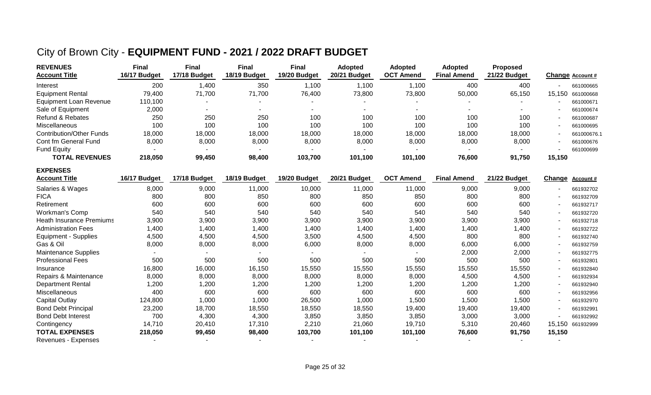## City of Brown City - **EQUIPMENT FUND - 2021 / 2022 DRAFT BUDGET**

| <b>REVENUES</b><br><b>Account Title</b>                              | <b>Final</b><br>16/17 Budget                                          | <b>Final</b><br>17/18 Budget                 | <b>Final</b><br>18/19 Budget | <b>Final</b><br>19/20 Budget         | <b>Adopted</b><br>20/21 Budget | <b>Adopted</b><br><b>OCT Amend</b> | <b>Adopted</b><br><b>Final Amend</b> | <b>Proposed</b><br>21/22 Budget |                          | Change Account # |
|----------------------------------------------------------------------|-----------------------------------------------------------------------|----------------------------------------------|------------------------------|--------------------------------------|--------------------------------|------------------------------------|--------------------------------------|---------------------------------|--------------------------|------------------|
| Interest                                                             | 200                                                                   | 1,400                                        | 350                          | 1,100                                | 1,100                          | 1,100                              | 400                                  | 400                             | $\overline{\phantom{0}}$ | 661000665        |
| <b>Equipment Rental</b>                                              | 79,400                                                                | 71,700                                       | 71,700                       | 76,400                               | 73,800                         | 73,800                             | 50,000                               | 65,150                          | 15.150                   | 661000668        |
| <b>Equipment Loan Revenue</b>                                        | 110,100                                                               |                                              |                              |                                      |                                |                                    |                                      |                                 |                          | 661000671        |
| Sale of Equipment                                                    | 2,000                                                                 | $\overline{\phantom{a}}$                     | $\overline{\phantom{a}}$     | $\sim$                               | $\blacksquare$                 | $\overline{\phantom{a}}$           | $\sim$                               | $\sim$                          |                          | 661000674        |
| Refund & Rebates                                                     | 250                                                                   | 250                                          | 250                          | 100                                  | 100                            | 100                                | 100                                  | 100                             |                          | 661000687        |
| Miscellaneous                                                        | 100                                                                   | 100                                          | 100                          | 100                                  | 100                            | 100                                | 100                                  | 100                             |                          | 661000695        |
| <b>Contribution/Other Funds</b>                                      | 18,000                                                                | 18,000                                       | 18,000                       | 18,000                               | 18,000                         | 18,000                             | 18,000                               | 18,000                          |                          | 661000676.1      |
| Cont fm General Fund                                                 | 8,000                                                                 | 8,000                                        | 8,000                        | 8,000                                | 8,000                          | 8,000                              | 8,000                                | 8,000                           |                          | 661000676        |
| <b>Fund Equity</b>                                                   |                                                                       | $\overline{\phantom{a}}$                     |                              | $\sim$                               |                                |                                    |                                      |                                 |                          | 661000699        |
| <b>TOTAL REVENUES</b>                                                | 218,050                                                               | 99,450                                       | 98,400                       | 103,700                              | 101,100                        | 101,100                            | 76,600                               | 91,750                          | 15,150                   |                  |
| <b>EXPENSES</b><br>$\mathbf{A}$ and a set of the set of $\mathbf{A}$ | $\mathbf{A} \mathbf{A} \mathbf{A} = \mathbf{B} \mathbf{A} \mathbf{A}$ | $1 = 11$ $\wedge$ $\wedge$ $\wedge$ $\wedge$ | $\overline{1011000}$         | $\overline{100000}$ $\overline{100}$ |                                |                                    | --<br>.                              | $A + I = A$                     |                          |                  |

| <b>Account Title</b>            | 16/17 Budget | 17/18 Budget | 18/19 Budget | 19/20 Budget | 20/21 Budget | <b>OCT Amend</b> | <b>Final Amend</b> | 21/22 Budget | Ch <u>ange</u>           | <b>Account #</b> |
|---------------------------------|--------------|--------------|--------------|--------------|--------------|------------------|--------------------|--------------|--------------------------|------------------|
| Salaries & Wages                | 8,000        | 9,000        | 11,000       | 10,000       | 11,000       | 11,000           | 9,000              | 9,000        |                          | 661932702        |
| <b>FICA</b>                     | 800          | 800          | 850          | 800          | 850          | 850              | 800                | 800          |                          | 661932709        |
| Retirement                      | 600          | 600          | 600          | 600          | 600          | 600              | 600                | 600          | $\overline{\phantom{0}}$ | 661932717        |
| Workman's Comp                  | 540          | 540          | 540          | 540          | 540          | 540              | 540                | 540          |                          | 661932720        |
| <b>Heath Insurance Premiums</b> | 3,900        | 3,900        | 3,900        | 3,900        | 3,900        | 3,900            | 3,900              | 3,900        | $\overline{\phantom{0}}$ | 661932718        |
| <b>Administration Fees</b>      | 1,400        | 1,400        | 1,400        | 1,400        | 1,400        | 1,400            | 1,400              | 1,400        |                          | 661932722        |
| <b>Equipment - Supplies</b>     | 4,500        | 4,500        | 4,500        | 3,500        | 4,500        | 4,500            | 800                | 800          | $\sim$                   | 661932740        |
| Gas & Oil                       | 8,000        | 8,000        | 8,000        | 6,000        | 8,000        | 8,000            | 6,000              | 6,000        | $\overline{\phantom{a}}$ | 661932759        |
| Maintenance Supplies            |              |              |              |              |              |                  | 2,000              | 2,000        | $\overline{\phantom{a}}$ | 661932775        |
| <b>Professional Fees</b>        | 500          | 500          | 500          | 500          | 500          | 500              | 500                | 500          |                          | 661932801        |
| Insurance                       | 16,800       | 16,000       | 16,150       | 15,550       | 15,550       | 15,550           | 15,550             | 15,550       |                          | 661932840        |
| Repairs & Maintenance           | 8,000        | 8,000        | 8,000        | 8,000        | 8,000        | 8,000            | 4,500              | 4,500        |                          | 661932934        |
| <b>Department Rental</b>        | 1,200        | 1,200        | 1,200        | 1,200        | 1,200        | 1,200            | 1,200              | ,200         |                          | 661932940        |
| Miscellaneous                   | 400          | 600          | 600          | 600          | 600          | 600              | 600                | 600          |                          | 661932956        |
| Capital Outlay                  | 124,800      | 1,000        | 1,000        | 26,500       | 1,000        | 1,500            | 1,500              | 1,500        |                          | 661932970        |
| <b>Bond Debt Principal</b>      | 23,200       | 18,700       | 18,550       | 18,550       | 18,550       | 19,400           | 19,400             | 19,400       | $\sim$                   | 661932991        |
| <b>Bond Debt Interest</b>       | 700          | 4,300        | 4,300        | 3,850        | 3,850        | 3,850            | 3,000              | 3,000        |                          | 661932992        |
| Contingency                     | 14,710       | 20,410       | 17,310       | 2,210        | 21,060       | 19,710           | 5,310              | 20,460       | 15.150                   | 661932999        |
| <b>TOTAL EXPENSES</b>           | 218,050      | 99,450       | 98,400       | 103,700      | 101,100      | 101,100          | 76,600             | 91,750       | 15,150                   |                  |
| Revenues - Expenses             |              |              |              |              |              |                  |                    |              |                          |                  |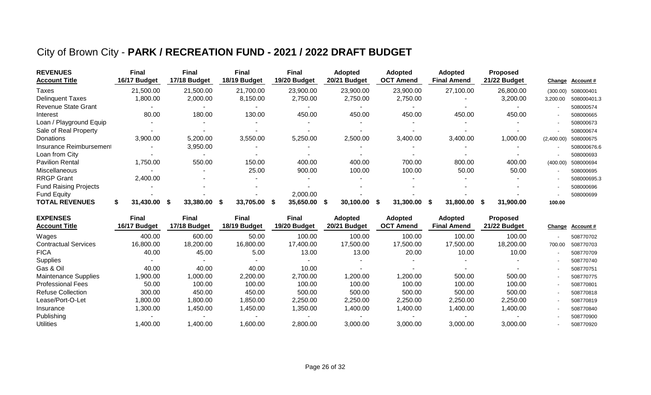## City of Brown City - **PARK / RECREATION FUND - 2021 / 2022 DRAFT BUDGET**

| <b>REVENUES</b><br><b>Account Title</b> | Final<br>16/17 Budget | <b>Final</b><br>17/18 Budget | <b>Final</b><br>18/19 Budget | Final<br>19/20 Budget | <b>Adopted</b><br>20/21 Budget | <b>Adopted</b><br><b>OCT Amend</b> | <b>Adopted</b><br><b>Final Amend</b> | <b>Proposed</b><br>21/22 Budget |            | Change Account # |
|-----------------------------------------|-----------------------|------------------------------|------------------------------|-----------------------|--------------------------------|------------------------------------|--------------------------------------|---------------------------------|------------|------------------|
| Taxes                                   | 21,500.00             | 21,500.00                    | 21,700.00                    | 23,900.00             | 23,900.00                      | 23,900.00                          | 27,100.00                            | 26,800.00                       | (300.00)   | 508000401        |
| <b>Delinquent Taxes</b>                 | ,800.00               | 2,000.00                     | 8,150.00                     | 2,750.00              | 2,750.00                       | 2,750.00                           |                                      | 3,200.00                        | 3,200.00   | 508000401.3      |
| <b>Revenue State Grant</b>              |                       |                              |                              |                       |                                |                                    |                                      |                                 |            | 508000574        |
| Interest                                | 80.00                 | 180.00                       | 130.00                       | 450.00                | 450.00                         | 450.00                             | 450.00                               | 450.00                          |            | 508000665        |
| Loan / Playground Equip                 |                       |                              |                              |                       |                                |                                    |                                      |                                 |            | 508000673        |
| Sale of Real Property                   |                       |                              |                              |                       |                                |                                    |                                      |                                 |            | 508000674        |
| Donations                               | 3,900.00              | 5,200.00                     | 3,550.00                     | 5,250.00              | 2,500.00                       | 3,400.00                           | 3,400.00                             | 1,000.00                        | (2,400.00) | 508000675        |
| Insurance Reimbursement                 |                       | 3,950.00                     |                              |                       |                                |                                    |                                      |                                 |            | 508000676.6      |
| Loan from City                          |                       |                              |                              |                       |                                |                                    |                                      |                                 |            | 508000693        |
| <b>Pavilion Rental</b>                  | 1,750.00              | 550.00                       | 150.00                       | 400.00                | 400.00                         | 700.00                             | 800.00                               | 400.00                          | (400.00)   | 508000694        |
| <b>Miscellaneous</b>                    |                       |                              | 25.00                        | 900.00                | 100.00                         | 100.00                             | 50.00                                | 50.00                           |            | 508000695        |
| <b>RRGP Grant</b>                       | 2,400.00              |                              |                              |                       |                                |                                    |                                      |                                 |            | 508000695.3      |
| <b>Fund Raising Projects</b>            |                       |                              |                              |                       |                                |                                    |                                      |                                 |            | 508000696        |
| Fund Equity                             |                       |                              |                              | 2,000.00              |                                |                                    |                                      |                                 |            | 508000699        |
| <b>TOTAL REVENUES</b>                   | 31.430.00             | 33,380,00<br>- S             | 33,705,00<br>- 5             | 35.650.00<br>- 55     | 30.100.00<br>-56               | 31.300.00<br>-S                    | 31.800.00<br>- S                     | 31,900.00<br>- 55               | 100.00     |                  |

| Final<br>16/17 Budget | Final<br>17/18 Budget | Final<br>18/19 Budget | Final<br>19/20 Budget | 20/21 Budget | <b>Adopted</b><br><b>OCT Amend</b> | <b>Final Amend</b> | <b>Proposed</b><br>21/22 Budget |                          | <u>Account #</u> |
|-----------------------|-----------------------|-----------------------|-----------------------|--------------|------------------------------------|--------------------|---------------------------------|--------------------------|------------------|
| 400.00                | 600.00                | 50.00                 | 100.00                | 100.00       | 100.00                             | 100.00             | 100.00                          | $\blacksquare$           | 508770702        |
| 16,800.00             | 18,200.00             | 16,800.00             | 17,400.00             | 17.500.00    | 17,500.00                          | 17.500.00          | 18,200.00                       | 700.00                   | 508770703        |
| 40.00                 | 45.00                 | 5.00                  | 13.00                 | 13.00        | 20.00                              | 10.00              | 10.00                           |                          | 508770709        |
|                       |                       |                       |                       |              |                                    |                    |                                 |                          | 508770740        |
| 40.00                 | 40.00                 | 40.00                 | 10.00                 |              |                                    |                    |                                 | $\blacksquare$           | 508770751        |
| ,900.00               | ,000.00               | 2,200.00              | 2,700.00              | 1,200.00     | 1,200.00                           | 500.00             | 500.00                          | $\overline{\phantom{0}}$ | 508770775        |
| 50.00                 | 100.00                | 100.00                | 100.00                | 100.00       | 100.00                             | 100.00             | 100.00                          |                          | 508770801        |
| 300.00                | 450.00                | 450.00                | 500.00                | 500.00       | 500.00                             | 500.00             | 500.00                          |                          | 508770818        |
| ,800.00               | ,800.00               | ,850.00               | 2,250.00              | 2,250.00     | 2,250.00                           | 2,250.00           | 2,250.00                        | $\blacksquare$           | 508770819        |
| ,300.00               | ,450.00               | ,450.00               | ,350.00               | 1,400.00     | 1,400.00                           | 1,400.00           | 1,400.00                        | $\overline{\phantom{0}}$ | 508770840        |
|                       |                       |                       |                       |              |                                    |                    |                                 |                          | 508770900        |
| ,400.00               | ,400.00               | ,600.00               | 2,800.00              | 3,000.00     | 3,000.00                           | 3,000.00           | 3,000.00                        | $\,$                     | 508770920        |
|                       |                       |                       |                       |              | <b>Adopted</b>                     |                    |                                 | <b>Adopted</b>           | <b>Change</b>    |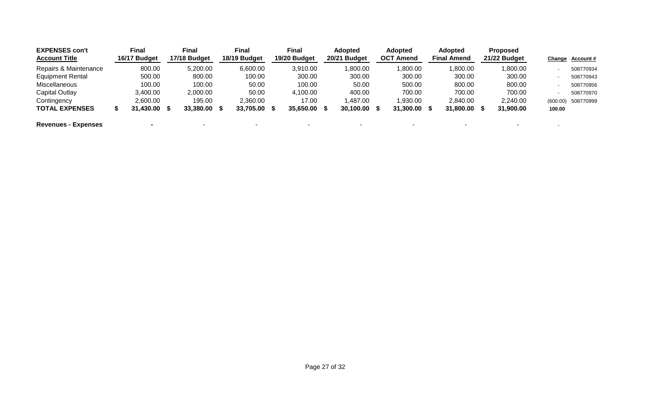| <b>EXPENSES con't</b><br><b>Account Title</b> | Final<br>16/17 Budget | Final<br>17/18 Budget | Final<br>18/19 Budget |           | Final<br>19/20 Budget | <b>Adopted</b><br>20/21 Budget |      | <b>Adopted</b><br><b>OCT Amend</b> | <b>Adopted</b><br><b>Final Amend</b> | <b>Proposed</b><br>21/22 Budget |                          | Change Account#    |
|-----------------------------------------------|-----------------------|-----------------------|-----------------------|-----------|-----------------------|--------------------------------|------|------------------------------------|--------------------------------------|---------------------------------|--------------------------|--------------------|
| Repairs & Maintenance                         | 800.00                | 5,200.00              |                       | 6,600.00  | 3,910.00              | .800.00                        |      | 1,800.00                           | 1,800.00                             | 1,800.00                        |                          | 508770934          |
| <b>Equipment Rental</b>                       | 500.00                | 800.00                |                       | 100.00    | 300.00                | 300.00                         |      | 300.00                             | 300.00                               | 300.00                          |                          | 508770943          |
| Miscellaneous                                 | 100.00                | 100.00                |                       | 50.00     | 100.00                | 50.00                          |      | 500.00                             | 800.00                               | 800.00                          |                          | 508770956          |
| Capital Outlay                                | 3,400.00              | 2,000.00              |                       | 50.00     | 4,100.00              | 400.00                         |      | 700.00                             | 700.00                               | 700.00                          |                          | 508770970          |
| Contingency                                   | 2,600.00              | 195.00                |                       | 2,360.00  | 17.00                 | 1,487.00                       |      | 1,930.00                           | 2.840.00                             | 2,240.00                        |                          | (600.00) 508770999 |
| <b>TOTAL EXPENSES</b>                         | 31,430.00 \$          | 33,380.00 \$          |                       | 33,705.00 | 35,650.00             | 30,100.00                      | - 55 | 31,300.00                          | 31,800.00                            | 31,900.00                       | 100.00                   |                    |
| <b>Revenues - Expenses</b>                    |                       |                       |                       |           |                       |                                |      |                                    |                                      | $\sim$                          | $\overline{\phantom{0}}$ |                    |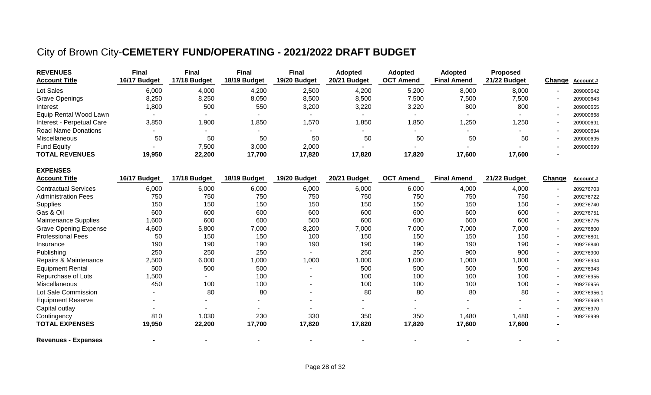## City of Brown City-**CEMETERY FUND/OPERATING - 2021/2022 DRAFT BUDGET**

**EXPENSES**

| <b>REVENUES</b><br><b>Account Title</b> | <b>Final</b><br>16/17 Budget | <b>Final</b><br>17/18 Budget | Final<br>18/19 Budget | <b>Final</b><br>19/20 Budget | <b>Adopted</b><br>20/21 Budget | <b>Adopted</b><br><b>OCT Amend</b> | <b>Adopted</b><br><b>Final Amend</b> | <b>Proposed</b><br>21/22 Budget | Change | <b>Account #</b> |
|-----------------------------------------|------------------------------|------------------------------|-----------------------|------------------------------|--------------------------------|------------------------------------|--------------------------------------|---------------------------------|--------|------------------|
|                                         |                              |                              |                       |                              |                                |                                    |                                      |                                 |        |                  |
| Lot Sales                               | 6,000                        | 4,000                        | 4,200                 | 2,500                        | 4,200                          | 5,200                              | 8,000                                | 8,000                           |        | 209000642        |
| <b>Grave Openings</b>                   | 8,250                        | 8,250                        | 8,050                 | 8,500                        | 8,500                          | 7,500                              | 7,500                                | 7,500                           |        | 209000643        |
| Interest                                | 800, ا                       | 500                          | 550                   | 3,200                        | 3,220                          | 3,220                              | 800                                  | 800                             |        | 209000665        |
| Equip Rental Wood Lawn                  |                              | $\overline{\phantom{a}}$     |                       |                              |                                |                                    |                                      |                                 |        | 209000668        |
| Interest - Perpetual Care               | 3,850                        | 1,900                        | 1,850                 | 1,570                        | ,850                           | <b>850,</b>                        | 1,250                                | ,250                            |        | 209000691        |
| <b>Road Name Donations</b>              |                              | . .                          |                       |                              |                                | $\sim$                             | $\sim$                               |                                 |        | 209000694        |
| <b>Miscellaneous</b>                    | 50                           | 50                           | 50                    | 50                           | 50                             | 50                                 | 50                                   | 50                              |        | 209000695        |
| <b>Fund Equity</b>                      |                              | 7,500                        | 3,000                 | 2,000                        |                                |                                    |                                      | $\sim$                          |        | 209000699        |
| <b>TOTAL REVENUES</b>                   | 19,950                       | 22,200                       | 17,700                | 17,820                       | 17,820                         | 17,820                             | 17,600                               | 17,600                          |        |                  |

| <b>Account Title</b>         | 16/17 Budget | 17/18 Budget | 18/19 Budget | 19/20 Budget | 20/21 Budget | <b>OCT Amend</b> | <b>Final Amend</b> | 21/22 Budget | Change | <b>Account #</b> |
|------------------------------|--------------|--------------|--------------|--------------|--------------|------------------|--------------------|--------------|--------|------------------|
| <b>Contractual Services</b>  | 6,000        | 6,000        | 6,000        | 6,000        | 6,000        | 6,000            | 4,000              | 4,000        |        | 209276703        |
| <b>Administration Fees</b>   | 750          | 750          | 750          | 750          | 750          | 750              | 750                | 750          |        | 209276722        |
| <b>Supplies</b>              | 150          | 150          | 150          | 150          | 150          | 150              | 150                | 150          |        | 209276740        |
| Gas & Oil                    | 600          | 600          | 600          | 600          | 600          | 600              | 600                | 600          |        | 209276751        |
| <b>Maintenance Supplies</b>  | 1,600        | 600          | 600          | 500          | 600          | 600              | 600                | 600          |        | 209276775        |
| <b>Grave Opening Expense</b> | 4,600        | 5,800        | 7,000        | 8,200        | 7,000        | 7,000            | 7,000              | 7,000        |        | 209276800        |
| <b>Professional Fees</b>     | 50           | 150          | 150          | 100          | 150          | 150              | 150                | 150          |        | 209276801        |
| Insurance                    | 190          | 190          | 190          | 190          | 190          | 190              | 190                | 190          |        | 209276840        |
| Publishing                   | 250          | 250          | 250          |              | 250          | 250              | 900                | 900          |        | 209276900        |
| Repairs & Maintenance        | 2,500        | 6,000        | 1,000        | 1,000        | 1,000        | 1,000            | 1,000              | 1,000        | $\sim$ | 209276934        |
| <b>Equipment Rental</b>      | 500          | 500          | 500          |              | 500          | 500              | 500                | 500          |        | 209276943        |
| Repurchase of Lots           | 1,500        |              | 100          | ۰            | 100          | 100              | 100                | 100          | ۰.     | 209276955        |
| Miscellaneous                | 450          | 100          | 100          | ٠.           | 100          | 100              | 100                | 100          |        | 209276956        |
| Lot Sale Commission          |              | 80           | 80           | ۰            | 80           | 80               | 80                 | 80           |        | 209276956.1      |
| <b>Equipment Reserve</b>     |              |              |              |              |              |                  |                    |              |        | 209276969.1      |
| Capital outlay               |              |              |              |              |              |                  |                    |              |        | 209276970        |
| Contingency                  | 810          | 1,030        | 230          | 330          | 350          | 350              | 1,480              | 1,480        |        | 209276999        |
| <b>TOTAL EXPENSES</b>        | 19,950       | 22,200       | 17,700       | 17,820       | 17,820       | 17,820           | 17,600             | 17,600       |        |                  |
| <b>Revenues - Expenses</b>   |              |              |              |              |              |                  |                    |              |        |                  |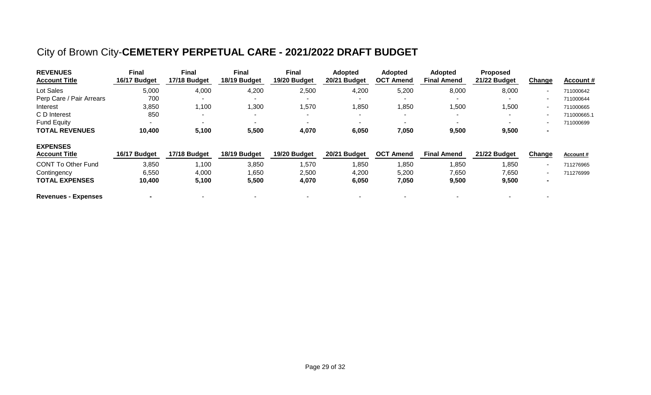## City of Brown City-**CEMETERY PERPETUAL CARE - 2021/2022 DRAFT BUDGET**

| <b>REVENUES</b><br><b>Account Title</b> | <b>Final</b><br>16/17 Budget | Final<br>17/18 Budget | Final<br>18/19 Budget    | Final<br>19/20 Budget    | <b>Adopted</b><br>20/21 Budget | <b>Adopted</b><br><b>OCT Amend</b> | <b>Adopted</b><br><b>Final Amend</b> | <b>Proposed</b><br>21/22 Budget | Change                   | <b>Account #</b> |
|-----------------------------------------|------------------------------|-----------------------|--------------------------|--------------------------|--------------------------------|------------------------------------|--------------------------------------|---------------------------------|--------------------------|------------------|
| Lot Sales                               | 5,000                        | 4,000                 | 4,200                    | 2,500                    | 4,200                          | 5,200                              | 8,000                                | 8,000                           | $\blacksquare$           | 711000642        |
| Perp Care / Pair Arrears                | 700                          |                       |                          |                          |                                |                                    |                                      |                                 | $\overline{\phantom{a}}$ | 711000644        |
| Interest                                | 3,850                        | 1,100                 | 1,300                    | 1,570                    | 1,850                          | 1,850                              | 1,500                                | 1,500                           | $\overline{\phantom{a}}$ | 711000665        |
| C D Interest                            | 850                          | ۰                     | $\overline{\phantom{a}}$ | $\sim$                   |                                | $\overline{\phantom{0}}$           | $\overline{\phantom{0}}$             |                                 | ٠                        | 711000665.1      |
| <b>Fund Equity</b>                      |                              | $\blacksquare$        |                          | $\overline{\phantom{0}}$ |                                |                                    |                                      |                                 | ٠                        | 711000699        |
| <b>TOTAL REVENUES</b>                   | 10,400                       | 5,100                 | 5,500                    | 4,070                    | 6,050                          | 7,050                              | 9,500                                | 9,500                           | $\blacksquare$           |                  |
| <b>EXPENSES</b>                         |                              |                       |                          |                          |                                |                                    |                                      |                                 |                          |                  |
| <b>Account Title</b>                    | 16/17 Budget                 | 17/18 Budget          | 18/19 Budget             | 19/20 Budget             | 20/21 Budget                   | <b>OCT Amend</b>                   | <b>Final Amend</b>                   | 21/22 Budget                    | Ch <u>ange</u>           | Account#         |
| <b>CONT To Other Fund</b>               | 3,850                        | 1,100                 | 3,850                    | 1,570                    | 1,850                          | ,850                               | 1,850                                | 1,850                           | ٠                        | 711276965        |
| Contingency                             | 6,550                        | 4,000                 | ,650                     | 2,500                    | 4,200                          | 5,200                              | 7,650                                | 7,650                           | $\overline{\phantom{a}}$ | 711276999        |
| <b>TOTAL EXPENSES</b>                   | 10,400                       | 5,100                 | 5,500                    | 4,070                    | 6,050                          | 7,050                              | 9,500                                | 9,500                           | $\blacksquare$           |                  |
| <b>Revenues - Expenses</b>              |                              |                       |                          |                          |                                |                                    |                                      |                                 |                          |                  |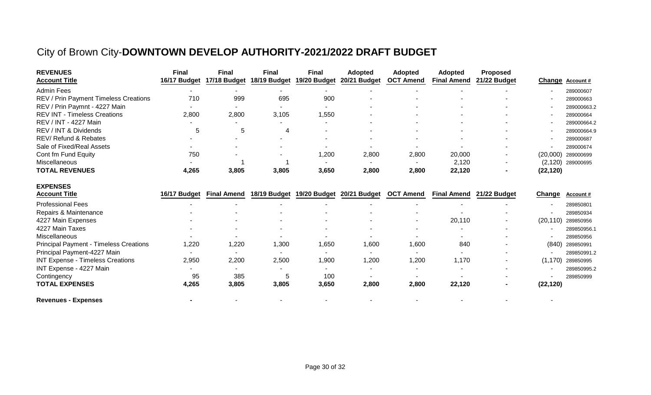## City of Brown City-**DOWNTOWN DEVELOP AUTHORITY-2021/2022 DRAFT BUDGET**

| <b>REVENUES</b><br><b>Account Title</b>       | <b>Final</b><br>16/17 Budget | <b>Final</b><br>17/18 Budget | <b>Final</b><br>18/19 Budget | <b>Final</b><br>19/20 Budget | <b>Adopted</b><br>20/21 Budget | <b>Adopted</b><br><b>OCT Amend</b> | <b>Adopted</b><br><b>Final Amend</b> | Proposed<br>21/22 Budget | Change    | <b>Account #</b> |
|-----------------------------------------------|------------------------------|------------------------------|------------------------------|------------------------------|--------------------------------|------------------------------------|--------------------------------------|--------------------------|-----------|------------------|
| <b>Admin Fees</b>                             | $\blacksquare$               |                              |                              |                              |                                |                                    |                                      |                          |           | 289000607        |
| REV / Prin Payment Timeless Creations         | 710                          | 999                          | 695                          | 900                          |                                |                                    |                                      |                          |           | 289000663        |
| REV / Prin Paymnt - 4227 Main                 |                              |                              |                              |                              |                                |                                    |                                      |                          |           | 289000663.2      |
| <b>REV INT - Timeless Creations</b>           | 2,800                        | 2,800                        | 3,105                        | 1,550                        |                                |                                    |                                      |                          |           | 289000664        |
| REV / INT - 4227 Main                         |                              |                              |                              |                              |                                |                                    |                                      |                          |           | 289000664.2      |
| REV / INT & Dividends                         | 5                            | 5                            | 4                            |                              |                                |                                    |                                      |                          |           | 289000664.9      |
| REV/ Refund & Rebates                         |                              |                              |                              |                              |                                |                                    |                                      |                          |           | 289000687        |
| Sale of Fixed/Real Assets                     |                              |                              |                              |                              |                                |                                    |                                      |                          |           | 289000674        |
| Cont fm Fund Equity                           | 750                          |                              |                              | 1,200                        | 2,800                          | 2,800                              | 20,000                               |                          | (20,000)  | 289000699        |
| Miscellaneous                                 |                              |                              |                              |                              |                                |                                    | 2,120                                |                          | (2, 120)  | 289000695        |
| <b>TOTAL REVENUES</b>                         | 4,265                        | 3,805                        | 3,805                        | 3,650                        | 2,800                          | 2,800                              | 22,120                               |                          | (22, 120) |                  |
| <b>EXPENSES</b>                               |                              |                              |                              |                              |                                |                                    |                                      |                          |           |                  |
| <b>Account Title</b>                          | 16/17 Budget                 | <b>Final Amend</b>           | 18/19 Budget                 |                              | 19/20 Budget 20/21 Budget      | <b>OCT Amend</b>                   | <b>Final Amend</b>                   | 21/22 Budget             | Change    | Account#         |
| <b>Professional Fees</b>                      |                              |                              |                              |                              |                                |                                    |                                      |                          |           | 289850801        |
| Repairs & Maintenance                         |                              |                              |                              |                              |                                |                                    |                                      |                          |           | 289850934        |
| 4227 Main Expenses                            |                              |                              |                              |                              |                                |                                    | 20,110                               |                          | (20, 110) | 289850956        |
| 4227 Main Taxes                               |                              |                              |                              |                              |                                |                                    |                                      |                          |           | 289850956.1      |
| Miscellaneous                                 |                              |                              |                              |                              |                                |                                    |                                      |                          |           | 289850956        |
| <b>Principal Payment - Timeless Creations</b> | 1,220                        | 1,220                        | 1,300                        | 1,650                        | 1,600                          | 1,600                              | 840                                  |                          | (840)     | 289850991        |
| Principal Payment-4227 Main                   |                              |                              |                              |                              |                                |                                    |                                      |                          |           | 289850991.2      |
| <b>INT Expense - Timeless Creations</b>       | 2,950                        | 2,200                        | 2,500                        | 1,900                        | 1,200                          | 1,200                              | 1,170                                |                          | (1, 170)  | 289850995        |
| INT Expense - 4227 Main                       |                              |                              |                              |                              |                                |                                    |                                      |                          |           | 289850995.2      |
| Contingency                                   | 95                           | 385                          | 5                            | 100                          |                                |                                    |                                      |                          |           | 289850999        |
| <b>TOTAL EXPENSES</b>                         | 4,265                        | 3,805                        | 3,805                        | 3,650                        | 2,800                          | 2,800                              | 22,120                               |                          | (22, 120) |                  |
| <b>Revenues - Expenses</b>                    |                              |                              |                              |                              |                                |                                    |                                      |                          |           |                  |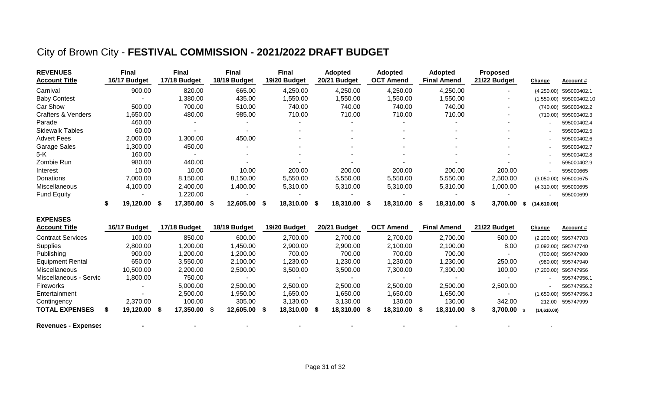## City of Brown City - **FESTIVAL COMMISSION - 2021/2022 DRAFT BUDGET**

| <b>REVENUES</b><br><b>Account Title</b> | Final<br>16/17 Budget |                       | Final<br>17/18 Budget |     | <b>Final</b><br>18/19 Budget | <b>Final</b><br>19/20 Budget | <b>Adopted</b><br>20/21 Budget | <b>Adopted</b><br><b>OCT Amend</b> |      | <b>Adopted</b><br><b>Final Amend</b> | <b>Proposed</b><br>21/22 Budget |     | Change      | <b>Account #</b> |
|-----------------------------------------|-----------------------|-----------------------|-----------------------|-----|------------------------------|------------------------------|--------------------------------|------------------------------------|------|--------------------------------------|---------------------------------|-----|-------------|------------------|
| Carnival                                | 900.00                |                       | 820.00                |     | 665.00                       | 4,250.00                     | 4,250.00                       | 4,250.00                           |      | 4,250.00                             |                                 |     | (4,250.00)  | 595000402.1      |
| <b>Baby Contest</b>                     |                       | $\blacksquare$        | ,380.00               |     | 435.00                       | 1,550.00                     | 1,550.00                       | ,550.00                            |      | ,550.00                              | $\overline{\phantom{a}}$        |     | (1,550.00)  | 595000402.10     |
| <b>Car Show</b>                         | 500.00                |                       | 700.00                |     | 510.00                       | 740.00                       | 740.00                         | 740.00                             |      | 740.00                               |                                 |     | (740.00)    | 595000402.2      |
| <b>Crafters &amp; Venders</b>           | ,650.00               |                       | 480.00                |     | 985.00                       | 710.00                       | 710.00                         | 710.00                             |      | 710.00                               |                                 |     | (710.00)    | 595000402.3      |
| Parade                                  | 460.00                |                       |                       |     | $\sim$                       |                              |                                |                                    |      |                                      |                                 |     |             | 595000402.4      |
| Sidewalk Tables                         |                       | 60.00                 |                       |     |                              |                              | $\overline{\phantom{a}}$       | $\blacksquare$                     |      | $\overline{\phantom{a}}$             |                                 |     |             | 595000402.5      |
| <b>Advert Fees</b>                      | 2,000.00              |                       | ,300.00               |     | 450.00                       |                              |                                |                                    |      |                                      |                                 |     |             | 595000402.6      |
| Garage Sales                            | ,300.00               |                       | 450.00                |     |                              |                              | $\overline{\phantom{a}}$       | $\blacksquare$                     |      | $\overline{\phantom{a}}$             |                                 |     |             | 595000402.7      |
| 5-K                                     |                       | 160.00                |                       |     |                              | $\overline{\phantom{a}}$     | $\sim$                         | $\blacksquare$                     |      |                                      |                                 |     |             | 595000402.8      |
| Zombie Run                              | 980.00                |                       | 440.00                |     |                              |                              |                                |                                    |      |                                      |                                 |     |             | 595000402.9      |
| Interest                                |                       | 10.00                 | 10.00                 |     | 10.00                        | 200.00                       | 200.00                         | 200.00                             |      | 200.00                               | 200.00                          |     |             | 595000665        |
| Donations                               | 7,000.00              |                       | 8,150.00              |     | 8,150.00                     | 5,550.00                     | 5,550.00                       | 5,550.00                           |      | 5,550.00                             | 2,500.00                        |     | (3,050.00)  | 595000675        |
| Miscellaneous                           | 4,100.00              |                       | 2,400.00              |     | 1,400.00                     | 5,310.00                     | 5,310.00                       | 5,310.00                           |      | 5,310.00                             | 1,000.00                        |     | (4,310.00)  | 595000695        |
| <b>Fund Equity</b>                      |                       | $\tilde{\phantom{a}}$ | ,220.00               |     |                              |                              |                                |                                    |      | $\overline{\phantom{0}}$             |                                 |     |             | 595000699        |
|                                         | 19,120.00 \$          |                       | 17,350.00             | - S | 12,605.00 \$                 | 18,310.00 \$                 | 18,310.00 \$                   | 18,310.00                          | - \$ | 18,310.00 \$                         | 3,700.00                        | -SS | (14,610.00) |                  |

| <b>EXPENSES</b>          |              |              |              |              |              |                  |                    |               |             |                        |
|--------------------------|--------------|--------------|--------------|--------------|--------------|------------------|--------------------|---------------|-------------|------------------------|
| <b>Account Title</b>     | 16/17 Budget | 17/18 Budget | 18/19 Budget | 19/20 Budget | 20/21 Budget | <b>OCT Amend</b> | <b>Final Amend</b> | 21/22 Budget  | Change      | Account#               |
| <b>Contract Services</b> | 100.00       | 850.00       | 600.00       | 2,700.00     | 2,700.00     | 2,700.00         | 2,700.00           | 500.00        |             | (2,200.00) 595747703   |
| Supplies                 | 2,800.00     | 1,200.00     | ,450.00      | 2,900.00     | 2,900.00     | 2,100.00         | 2,100.00           | 8.00          |             | (2,092.00) 595747740   |
| Publishing               | 900.00       | 1,200.00     | ,200.00      | 700.00       | 700.00       | 700.00           | 700.00             |               |             | (700.00) 595747900     |
| <b>Equipment Rental</b>  | 650.00       | 3,550.00     | 2,100.00     | 1,230.00     | 1,230.00     | ,230.00          | 1,230.00           | 250.00        |             | (980.00) 595747940     |
| Miscellaneous            | 10,500.00    | 2,200.00     | 2,500.00     | 3,500.00     | 3,500.00     | 7,300.00         | 7,300.00           | 100.00        |             | (7,200.00) 595747956   |
| Miscellaneous - Service  | 00.00. ا     | 750.00       | ۰            |              | $\sim$       |                  | $\sim$             |               |             | 595747956.1            |
| Fireworks                |              | 5,000.00     | 2,500.00     | 2,500.00     | 2,500.00     | 2,500.00         | 2,500.00           | 2,500.00      |             | 595747956.2            |
| Entertainment            | $\sim$       | 2,500.00     | .950.00      | 1,650.00     | 1,650.00     | ,650.00          | 1,650.00           |               |             | (1,650.00) 595747956.3 |
| Contingency              | 2,370.00     | 100.00       | 305.00       | 3,130.00     | 3,130.00     | 130.00           | 130.00             | 342.00        | 212.00      | 595747999              |
| <b>TOTAL EXPENSES</b>    | 19,120.00 \$ | 17,350.00 \$ | 12,605.00 \$ | 18,310.00 \$ | 18,310.00    | 18,310.00 \$     | 18,310.00 \$       | $3,700.00$ \$ | (14,610.00) |                        |

**Revenues - Expenses -** - - - - - - - -